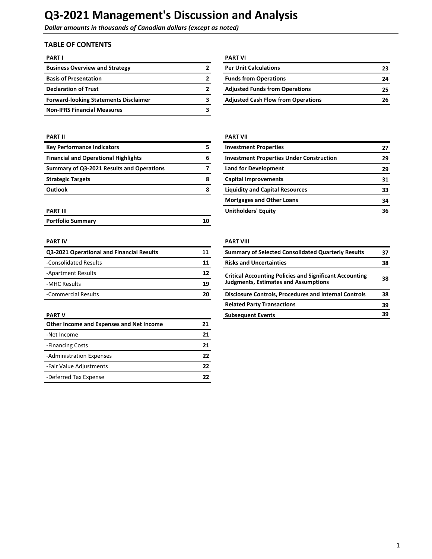**Dollar amounts in thousands of Canadian dollars (except as noted)** 

# **TABLE OF CONTENTS**

| <b>PART I</b>                                | <b>PART VI</b>                            |    |
|----------------------------------------------|-------------------------------------------|----|
| <b>Business Overview and Strategy</b>        | <b>Per Unit Calculations</b>              | 23 |
| <b>Basis of Presentation</b>                 | <b>Funds from Operations</b>              | 24 |
| <b>Declaration of Trust</b>                  | <b>Adjusted Funds from Operations</b>     | 25 |
| <b>Forward-looking Statements Disclaimer</b> | <b>Adjusted Cash Flow from Operations</b> | 26 |
| <b>Non-IFRS Financial Measures</b>           |                                           |    |

| <b>Key Performance Indicators</b>           | 5 |
|---------------------------------------------|---|
| <b>Financial and Operational Highlights</b> | 6 |
| Summary of Q3-2021 Results and Operations   |   |
| <b>Strategic Targets</b>                    | Զ |
| <b>Outlook</b>                              | 8 |

| <b>Portfolio Summary</b> |  |
|--------------------------|--|
|                          |  |

| Q3-2021 Operational and Financial Results | 11 | <b>Summary of Selected Consolidated Quarterly Results</b>      |
|-------------------------------------------|----|----------------------------------------------------------------|
| -Consolidated Results                     | 11 | <b>Risks and Uncertainties</b>                                 |
| -Apartment Results                        | 12 | <b>Critical Accounting Policies and Significant Accounting</b> |
| -MHC Results                              | 19 | <b>Judgments, Estimates and Assumptions</b>                    |
| -Commercial Results                       | 20 | <b>Disclosure Controls, Procedures and Internal Controls</b>   |

| Other Income and Expenses and Net Income | 21 |
|------------------------------------------|----|
| -Net Income                              | 21 |
| -Financing Costs                         | 21 |
| -Administration Expenses                 | 22 |
| -Fair Value Adjustments                  | 22 |
| -Deferred Tax Expense                    | 77 |

| <b>PART VI</b>                            |    |
|-------------------------------------------|----|
| <b>Per Unit Calculations</b>              | 23 |
| <b>Funds from Operations</b>              | 24 |
| <b>Adjusted Funds from Operations</b>     | 25 |
| <b>Adjusted Cash Flow from Operations</b> | 26 |

### **PART II PART II**

|   | <b>Investment Properties</b>                    | 27 |
|---|-------------------------------------------------|----|
| 6 | <b>Investment Properties Under Construction</b> | 29 |
|   | <b>Land for Development</b>                     | 29 |
| 8 | <b>Capital Improvements</b>                     | 31 |
| 8 | <b>Liquidity and Capital Resources</b>          | 33 |
|   | <b>Mortgages and Other Loans</b>                | 34 |
|   | <b>Unitholders' Equity</b>                      | 36 |
|   |                                                 |    |

## **PART IV PART IV**

| Q3-2021 Operational and Financial Results | 11                                                                                                                        | <b>Summary of Selected Consolidated Quarterly Results</b>    | 37 |
|-------------------------------------------|---------------------------------------------------------------------------------------------------------------------------|--------------------------------------------------------------|----|
| -Consolidated Results                     | 11                                                                                                                        | <b>Risks and Uncertainties</b>                               | 38 |
| -Apartment Results                        | 12<br><b>Critical Accounting Policies and Significant Accounting</b><br><b>Judgments, Estimates and Assumptions</b><br>19 |                                                              | 38 |
| -MHC Results                              |                                                                                                                           |                                                              |    |
| -Commercial Results                       | 20                                                                                                                        | <b>Disclosure Controls, Procedures and Internal Controls</b> | 38 |
|                                           |                                                                                                                           | <b>Related Party Transactions</b>                            | 39 |
| PART V                                    |                                                                                                                           | <b>Subsequent Events</b>                                     | 39 |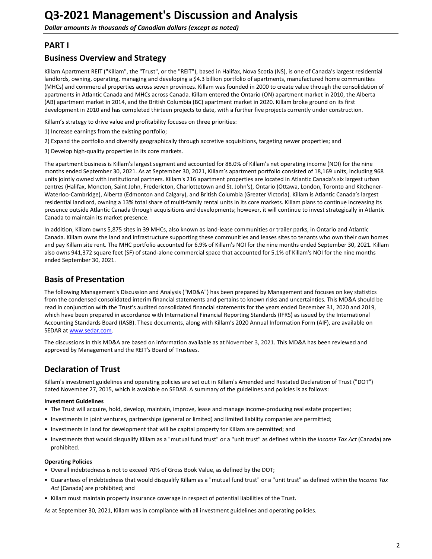# <span id="page-1-0"></span>**PART I**

# **Business Overview and Strategy**

Killam Apartment REIT ("Killam", the "Trust", or the "REIT"), based in Halifax, Nova Scotia (NS), is one of Canada's largest residential landlords, owning, operating, managing and developing a \$4.3 billion portfolio of apartments, manufactured home communities (MHCs) and commercial properties across seven provinces. Killam was founded in 2000 to create value through the consolidation of apartments in Atlantic Canada and MHCs across Canada. Killam entered the Ontario (ON) apartment market in 2010, the Alberta (AB) apartment market in 2014, and the British Columbia (BC) apartment market in 2020. Killam broke ground on its first development in 2010 and has completed thirteen projects to date, with a further five projects currently under construction.

Killam's strategy to drive value and profitability focuses on three priorities:

- 1) Increase earnings from the existing portfolio;
- 2) Expand the portfolio and diversify geographically through accretive acquisitions, targeting newer properties; and
- 3) Develop high-quality properties in its core markets.

The apartment business is Killam's largest segment and accounted for 88.0% of Killam's net operating income (NOI) for the nine months ended September 30, 2021. As at September 30, 2021, Killam's apartment portfolio consisted of 18,169 units, including 968 units jointly owned with institutional partners. Killam's 216 apartment properties are located in Atlantic Canada's six largest urban centres (Halifax, Moncton, Saint John, Fredericton, Charlottetown and St. John's), Ontario (Ottawa, London, Toronto and Kitchener-Waterloo-Cambridge), Alberta (Edmonton and Calgary), and British Columbia (Greater Victoria). Killam is Atlantic Canada's largest residential landlord, owning a 13% total share of multi-family rental units in its core markets. Killam plans to continue increasing its presence outside Atlantic Canada through acquisitions and developments; however, it will continue to invest strategically in Atlantic Canada to maintain its market presence.

In addition, Killam owns 5,875 sites in 39 MHCs, also known as land-lease communities or trailer parks, in Ontario and Atlantic Canada. Killam owns the land and infrastructure supporting these communities and leases sites to tenants who own their own homes and pay Killam site rent. The MHC portfolio accounted for 6.9% of Killam's NOI for the nine months ended September 30, 2021. Killam also owns 941,372 square feet (SF) of stand-alone commercial space that accounted for 5.1% of Killam's NOI for the nine months ended September 30, 2021.

# **Basis of Presentation**

The following Management's Discussion and Analysis ("MD&A") has been prepared by Management and focuses on key statistics from the condensed consolidated interim financial statements and pertains to known risks and uncertainties. This MD&A should be read in conjunction with the Trust's audited consolidated financial statements for the years ended December 31, 2020 and 2019, which have been prepared in accordance with International Financial Reporting Standards (IFRS) as issued by the International Accounting Standards Board (IASB). These documents, along with Killam's 2020 Annual Information Form (AIF), are available on SEDAR at [www.sedar.com](http://www.sedar.com).

The discussions in this MD&A are based on information available as at November 3, 2021. This MD&A has been reviewed and approved by Management and the REIT's Board of Trustees.

# **Declaration of Trust**

Killam's investment guidelines and operating policies are set out in Killam's Amended and Restated Declaration of Trust ("DOT") dated November 27, 2015, which is available on SEDAR. A summary of the guidelines and policies is as follows:

#### **Investment Guidelines**

- The Trust will acquire, hold, develop, maintain, improve, lease and manage income-producing real estate properties;
- Investments in joint ventures, partnerships (general or limited) and limited liability companies are permitted;
- Investments in land for development that will be capital property for Killam are permitted; and
- Investments that would disqualify Killam as a "mutual fund trust" or a "unit trust" as defined within the Income Tax Act (Canada) are prohibited.

#### **Operating Policies**

- Overall indebtedness is not to exceed 70% of Gross Book Value, as defined by the DOT;
- Guarantees of indebtedness that would disqualify Killam as a "mutual fund trust" or a "unit trust" as defined within the *Income Tax* Act (Canada) are prohibited; and
- Killam must maintain property insurance coverage in respect of potential liabilities of the Trust.

As at September 30, 2021, Killam was in compliance with all investment guidelines and operating policies.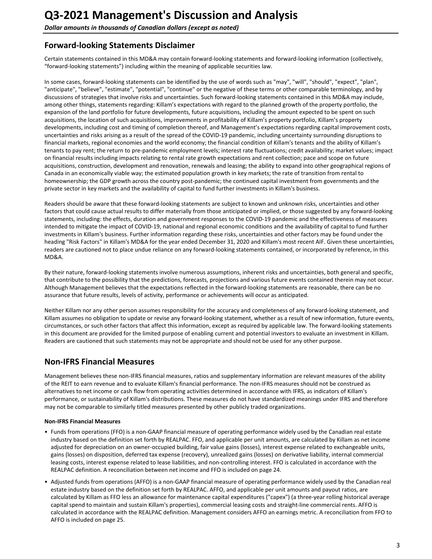# <span id="page-2-0"></span>**Forward-looking Statements Disclaimer**

Certain statements contained in this MD&A may contain forward-looking statements and forward-looking information (collectively, "forward-looking statements") including within the meaning of applicable securities law.

In some cases, forward-looking statements can be identified by the use of words such as "may", "will", "should", "expect", "plan", "anticipate", "believe", "estimate", "potential", "continue" or the negative of these terms or other comparable terminology, and by discussions of strategies that involve risks and uncertainties. Such forward-looking statements contained in this MD&A may include, among other things, statements regarding: Killam's expectations with regard to the planned growth of the property portfolio, the expansion of the land portfolio for future developments, future acquisitions, including the amount expected to be spent on such acquisitions, the location of such acquisitions, improvements in profitability of Killam's property portfolio, Killam's property developments, including cost and timing of completion thereof, and Management's expectations regarding capital improvement costs, uncertainties and risks arising as a result of the spread of the COVID-19 pandemic, including uncertainty surrounding disruptions to financial markets, regional economies and the world economy; the financial condition of Killam's tenants and the ability of Killam's tenants to pay rent; the return to pre-pandemic employment levels; interest rate fluctuations; credit availability; market values; impact on financial results including impacts relating to rental rate growth expectations and rent collection; pace and scope on future acquisitions, construction, development and renovation, renewals and leasing; the ability to expand into other geographical regions of Canada in an economically viable way; the estimated population growth in key markets; the rate of transition from rental to homeownership; the GDP growth across the country post-pandemic; the continued capital investment from governments and the private sector in key markets and the availability of capital to fund further investments in Killam's business.

Readers should be aware that these forward-looking statements are subject to known and unknown risks, uncertainties and other factors that could cause actual results to differ materially from those anticipated or implied, or those suggested by any forward-looking statements, including: the effects, duration and government responses to the COVID-19 pandemic and the effectiveness of measures intended to mitigate the impact of COVID-19, national and regional economic conditions and the availability of capital to fund further investments in Killam's business. Further information regarding these risks, uncertainties and other factors may be found under the heading "Risk Factors" in Killam's MD&A for the year ended December 31, 2020 and Killam's most recent AIF. Given these uncertainties, readers are cautioned not to place undue reliance on any forward-looking statements contained, or incorporated by reference, in this MD&A.

By their nature, forward-looking statements involve numerous assumptions, inherent risks and uncertainties, both general and specific, that contribute to the possibility that the predictions, forecasts, projections and various future events contained therein may not occur. Although Management believes that the expectations reflected in the forward-looking statements are reasonable, there can be no assurance that future results, levels of activity, performance or achievements will occur as anticipated.

Neither Killam nor any other person assumes responsibility for the accuracy and completeness of any forward-looking statement, and Killam assumes no obligation to update or revise any forward-looking statement, whether as a result of new information, future events, circumstances, or such other factors that affect this information, except as required by applicable law. The forward-looking statements in this document are provided for the limited purpose of enabling current and potential investors to evaluate an investment in Killam. Readers are cautioned that such statements may not be appropriate and should not be used for any other purpose.

# **Non-IFRS Financial Measures**

Management believes these non-IFRS financial measures, ratios and supplementary information are relevant measures of the ability of the REIT to earn revenue and to evaluate Killam's financial performance. The non-IFRS measures should not be construed as alternatives to net income or cash flow from operating activities determined in accordance with IFRS, as indicators of Killam's performance, or sustainability of Killam's distributions. These measures do not have standardized meanings under IFRS and therefore may not be comparable to similarly titled measures presented by other publicly traded organizations.

#### **Non-IFRS Financial Measures**

- Funds from operations (FFO) is a non-GAAP financial measure of operating performance widely used by the Canadian real estate industry based on the definition set forth by REALPAC. FFO, and applicable per unit amounts, are calculated by Killam as net income adjusted for depreciation on an owner-occupied building, fair value gains (losses), interest expense related to exchangeable units, gains (losses) on disposition, deferred tax expense (recovery), unrealized gains (losses) on derivative liability, internal commercial leasing costs, interest expense related to lease liabilities, and non-controlling interest. FFO is calculated in accordance with the REALPAC definition. A reconciliation between net income and FFO is included on page 24.
- Adjusted funds from operations (AFFO) is a non-GAAP financial measure of operating performance widely used by the Canadian real estate industry based on the definition set forth by REALPAC. AFFO, and applicable per unit amounts and payout ratios, are calculated by Killam as FFO less an allowance for maintenance capital expenditures ("capex") (a three-year rolling historical average capital spend to maintain and sustain Killam's properties), commercial leasing costs and straight-line commercial rents. AFFO is calculated in accordance with the REALPAC definition. Management considers AFFO an earnings metric. A reconciliation from FFO to AFFO is included on page 25.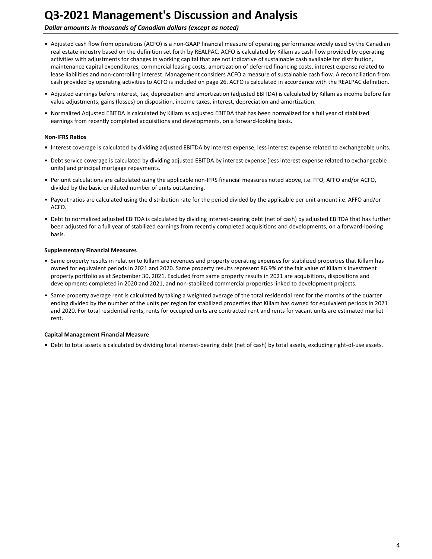**Dollar amounts in thousands of Canadian dollars (except as noted)** 

- Adjusted cash flow from operations (ACFO) is a non-GAAP financial measure of operating performance widely used by the Canadian real estate industry based on the definition set forth by REALPAC. ACFO is calculated by Killam as cash flow provided by operating activities with adjustments for changes in working capital that are not indicative of sustainable cash available for distribution, maintenance capital expenditures, commercial leasing costs, amortization of deferred financing costs, interest expense related to lease liabilities and non-controlling interest. Management considers ACFO a measure of sustainable cash flow. A reconciliation from cash provided by operating activities to ACFO is included on page 26. ACFO is calculated in accordance with the REALPAC definition.
- Adjusted earnings before interest, tax, depreciation and amortization (adjusted EBITDA) is calculated by Killam as income before fair value adjustments, gains (losses) on disposition, income taxes, interest, depreciation and amortization.
- Normalized Adjusted EBITDA is calculated by Killam as adjusted EBITDA that has been normalized for a full year of stabilized earnings from recently completed acquisitions and developments, on a forward-looking basis.

#### **Non-IFRS Ratios**

- Interest coverage is calculated by dividing adjusted EBITDA by interest expense, less interest expense related to exchangeable units.
- Debt service coverage is calculated by dividing adjusted EBITDA by interest expense (less interest expense related to exchangeable units) and principal mortgage repayments.
- Per unit calculations are calculated using the applicable non-IFRS financial measures noted above, i.e. FFO, AFFO and/or ACFO, divided by the basic or diluted number of units outstanding.
- Payout ratios are calculated using the distribution rate for the period divided by the applicable per unit amount i.e. AFFO and/or ACFO.
- Debt to normalized adjusted EBITDA is calculated by dividing interest-bearing debt (net of cash) by adjusted EBITDA that has further been adjusted for a full year of stabilized earnings from recently completed acquisitions and developments, on a forward-looking basis.

### **Supplementary Financial Measures**

- Same property results in relation to Killam are revenues and property operating expenses for stabilized properties that Killam has owned for equivalent periods in 2021 and 2020. Same property results represent 86.9% of the fair value of Killam's investment property portfolio as at September 30, 2021. Excluded from same property results in 2021 are acquisitions, dispositions and developments completed in 2020 and 2021, and non-stabilized commercial properties linked to development projects.
- Same property average rent is calculated by taking a weighted average of the total residential rent for the months of the quarter ending divided by the number of the units per region for stabilized properties that Killam has owned for equivalent periods in 2021 and 2020. For total residential rents, rents for occupied units are contracted rent and rents for vacant units are estimated market rent.

#### **Capital Management Financial Measure**

• Debt to total assets is calculated by dividing total interest-bearing debt (net of cash) by total assets, excluding right-of-use assets.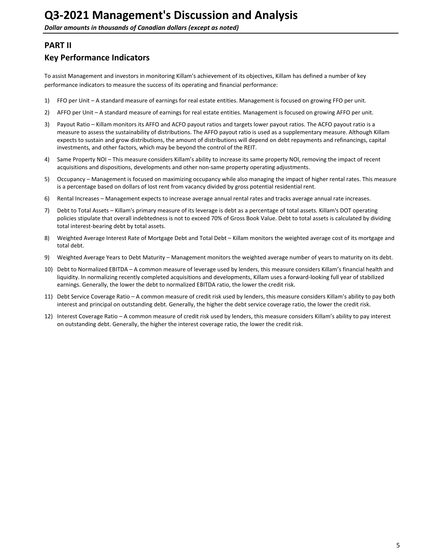# <span id="page-4-0"></span>**PART II**

# **Key Performance Indicators**

To assist Management and investors in monitoring Killam's achievement of its objectives, Killam has defined a number of key performance indicators to measure the success of its operating and financial performance:

- 1) FFO per Unit A standard measure of earnings for real estate entities. Management is focused on growing FFO per unit.
- 2) AFFO per Unit A standard measure of earnings for real estate entities. Management is focused on growing AFFO per unit.
- 3) Payout Ratio Killam monitors its AFFO and ACFO payout ratios and targets lower payout ratios. The ACFO payout ratio is a measure to assess the sustainability of distributions. The AFFO payout ratio is used as a supplementary measure. Although Killam expects to sustain and grow distributions, the amount of distributions will depend on debt repayments and refinancings, capital investments, and other factors, which may be beyond the control of the REIT.
- 4) Same Property NOI This measure considers Killam's ability to increase its same property NOI, removing the impact of recent acquisitions and dispositions, developments and other non-same property operating adjustments.
- 5) Occupancy Management is focused on maximizing occupancy while also managing the impact of higher rental rates. This measure is a percentage based on dollars of lost rent from vacancy divided by gross potential residential rent.
- 6) Rental Increases Management expects to increase average annual rental rates and tracks average annual rate increases.
- 7) Debt to Total Assets Killam's primary measure of its leverage is debt as a percentage of total assets. Killam's DOT operating policies stipulate that overall indebtedness is not to exceed 70% of Gross Book Value. Debt to total assets is calculated by dividing total interest-bearing debt by total assets.
- 8) Weighted Average Interest Rate of Mortgage Debt and Total Debt Killam monitors the weighted average cost of its mortgage and total debt.
- 9) Weighted Average Years to Debt Maturity Management monitors the weighted average number of years to maturity on its debt.
- 10) Debt to Normalized EBITDA A common measure of leverage used by lenders, this measure considers Killam's financial health and liquidity. In normalizing recently completed acquisitions and developments, Killam uses a forward-looking full year of stabilized earnings. Generally, the lower the debt to normalized EBITDA ratio, the lower the credit risk.
- 11) Debt Service Coverage Ratio A common measure of credit risk used by lenders, this measure considers Killam's ability to pay both interest and principal on outstanding debt. Generally, the higher the debt service coverage ratio, the lower the credit risk.
- 12) Interest Coverage Ratio A common measure of credit risk used by lenders, this measure considers Killam's ability to pay interest on outstanding debt. Generally, the higher the interest coverage ratio, the lower the credit risk.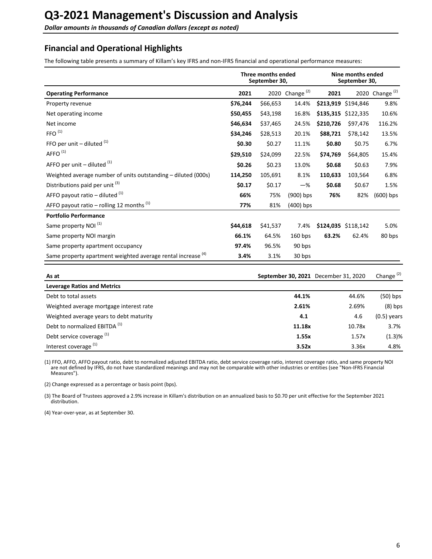<span id="page-5-0"></span>**Dollar amounts in thousands of Canadian dollars (except as noted)** 

# **Financial and Operational Highlights**

The following table presents a summary of Killam's key IFRS and non-IFRS financial and operational performance measures:

|                                                                         |          | Three months ended<br>September 30, |                   |           | Nine months ended<br>September 30, |                   |
|-------------------------------------------------------------------------|----------|-------------------------------------|-------------------|-----------|------------------------------------|-------------------|
| <b>Operating Performance</b>                                            | 2021     |                                     | 2020 Change $(2)$ | 2021      |                                    | 2020 Change $(2)$ |
| Property revenue                                                        | \$76,244 | \$66,653                            | 14.4%             |           | \$213,919 \$194,846                | 9.8%              |
| Net operating income                                                    | \$50,455 | \$43,198                            | 16.8%             |           | \$135,315 \$122,335                | 10.6%             |
| Net income                                                              | \$46,634 | \$37,465                            | 24.5%             | \$210,726 | \$97,476                           | 116.2%            |
| FFO <sup>(1)</sup>                                                      | \$34,246 | \$28,513                            | 20.1%             | \$88,721  | \$78,142                           | 13.5%             |
| FFO per unit $-$ diluted $(1)$                                          | \$0.30   | \$0.27                              | 11.1%             | \$0.80    | \$0.75                             | 6.7%              |
| AFFO <sup>(1)</sup>                                                     | \$29,510 | \$24,099                            | 22.5%             | \$74,769  | \$64,805                           | 15.4%             |
| AFFO per unit $-$ diluted $(1)$                                         | \$0.26   | \$0.23                              | 13.0%             | \$0.68    | \$0.63                             | 7.9%              |
| Weighted average number of units outstanding – diluted (000s)           | 114,250  | 105,691                             | 8.1%              | 110,633   | 103,564                            | 6.8%              |
| Distributions paid per unit <sup>(3)</sup>                              | \$0.17   | \$0.17                              | $-\%$             | \$0.68    | \$0.67                             | 1.5%              |
| AFFO payout ratio – diluted $(1)$                                       | 66%      | 75%                                 | $(900)$ bps       | 76%       | 82%                                | $(600)$ bps       |
| AFFO payout ratio – rolling 12 months $(1)$                             | 77%      | 81%                                 | $(400)$ bps       |           |                                    |                   |
| <b>Portfolio Performance</b>                                            |          |                                     |                   |           |                                    |                   |
| Same property NOI <sup>(1)</sup>                                        | \$44,618 | \$41,537                            | 7.4%              |           | \$124,035 \$118,142                | 5.0%              |
| Same property NOI margin                                                | 66.1%    | 64.5%                               | $160$ bps         | 63.2%     | 62.4%                              | 80 bps            |
| Same property apartment occupancy                                       | 97.4%    | 96.5%                               | 90 bps            |           |                                    |                   |
| Same property apartment weighted average rental increase <sup>(4)</sup> | 3.4%     | 3.1%                                | 30 bps            |           |                                    |                   |

| As at                                    | September 30, 2021 December 31, 2020 |        | Change $(2)$  |
|------------------------------------------|--------------------------------------|--------|---------------|
| <b>Leverage Ratios and Metrics</b>       |                                      |        |               |
| Debt to total assets                     | 44.1%                                | 44.6%  | $(50)$ bps    |
| Weighted average mortgage interest rate  | 2.61%                                | 2.69%  | $(8)$ bps     |
| Weighted average years to debt maturity  | 4.1                                  | 4.6    | $(0.5)$ years |
| Debt to normalized EBITDA <sup>(1)</sup> | 11.18x                               | 10.78x | 3.7%          |
| Debt service coverage <sup>(1)</sup>     | 1.55x                                | 1.57x  | (1.3)%        |
| Interest coverage <sup>(1)</sup>         | 3.52x                                | 3.36x  | 4.8%          |

(1) FFO, AFFO, AFFO payout ratio, debt to normalized adjusted EBITDA ratio, debt service coverage ratio, interest coverage ratio, and same property NOI are not defined by IFRS, do not have standardized meanings and may not be comparable with other industries or entities (see "Non-IFRS Financial Measures").

(2) Change expressed as a percentage or basis point (bps).

(3) The Board of Trustees approved a 2.9% increase in Killam's distribution on an annualized basis to \$0.70 per unit effective for the September 2021 distribution.

(4) Year-over-year, as at September 30.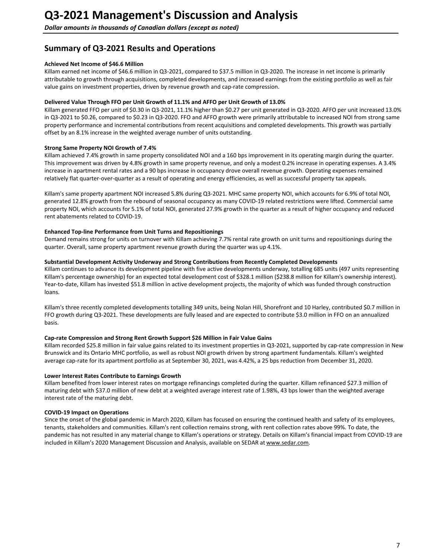# <span id="page-6-0"></span>**Summary of Q3-2021 Results and Operations**

### **Achieved Net Income of \$46.6 Million**

Killam earned net income of \$46.6 million in Q3-2021, compared to \$37.5 million in Q3-2020. The increase in net income is primarily attributable to growth through acquisitions, completed developments, and increased earnings from the existing portfolio as well as fair value gains on investment properties, driven by revenue growth and cap-rate compression.

### Delivered Value Through FFO per Unit Growth of 11.1% and AFFO per Unit Growth of 13.0%

Killam generated FFO per unit of \$0.30 in Q3-2021, 11.1% higher than \$0.27 per unit generated in Q3-2020. AFFO per unit increased 13.0% in Q3-2021 to \$0.26, compared to \$0.23 in Q3-2020. FFO and AFFO growth were primarily attributable to increased NOI from strong same property performance and incremental contributions from recent acquisitions and completed developments. This growth was partially offset by an 8.1% increase in the weighted average number of units outstanding.

### **Strong Same Property NOI Growth of 7.4%**

Killam achieved 7.4% growth in same property consolidated NOI and a 160 bps improvement in its operating margin during the quarter. This improvement was driven by 4.8% growth in same property revenue, and only a modest 0.2% increase in operating expenses. A 3.4% increase in apartment rental rates and a 90 bps increase in occupancy drove overall revenue growth. Operating expenses remained relatively flat quarter-over-quarter as a result of operating and energy efficiencies, as well as successful property tax appeals.

Killam's same property apartment NOI increased 5.8% during Q3-2021. MHC same property NOI, which accounts for 6.9% of total NOI, generated 12.8% growth from the rebound of seasonal occupancy as many COVID-19 related restrictions were lifted. Commercial same property NOI, which accounts for 5.1% of total NOI, generated 27.9% growth in the quarter as a result of higher occupancy and reduced rent abatements related to COVID-19.

### **Enhanced Top-line Performance from Unit Turns and Repositionings**

Demand remains strong for units on turnover with Killam achieving 7.7% rental rate growth on unit turns and repositionings during the quarter. Overall, same property apartment revenue growth during the quarter was up 4.1%.

#### Substantial Development Activity Underway and Strong Contributions from Recently Completed Developments

Killam continues to advance its development pipeline with five active developments underway, totalling 685 units (497 units representing Killam's percentage ownership) for an expected total development cost of \$328.1 million (\$238.8 million for Killam's ownership interest). Year-to-date, Killam has invested \$51.8 million in active development projects, the majority of which was funded through construction loans.

Killam's three recently completed developments totalling 349 units, being Nolan Hill, Shorefront and 10 Harley, contributed \$0.7 million in FFO growth during Q3-2021. These developments are fully leased and are expected to contribute \$3.0 million in FFO on an annualized basis.

#### Cap-rate Compression and Strong Rent Growth Support \$26 Million in Fair Value Gains

Killam recorded \$25.8 million in fair value gains related to its investment properties in Q3-2021, supported by cap-rate compression in New Brunswick and its Ontario MHC portfolio, as well as robust NOI growth driven by strong apartment fundamentals. Killam's weighted average cap-rate for its apartment portfolio as at September 30, 2021, was 4.42%, a 25 bps reduction from December 31, 2020.

### **Lower Interest Rates Contribute to Earnings Growth**

Killam benefited from lower interest rates on mortgage refinancings completed during the quarter. Killam refinanced \$27.3 million of maturing debt with \$37.0 million of new debt at a weighted average interest rate of 1.98%, 43 bps lower than the weighted average interest rate of the maturing debt.

### **COVID-19 Impact on Operations**

Since the onset of the global pandemic in March 2020, Killam has focused on ensuring the continued health and safety of its employees, tenants, stakeholders and communities. Killam's rent collection remains strong, with rent collection rates above 99%. To date, the pandemic has not resulted in any material change to Killam's operations or strategy. Details on Killam's financial impact from COVID-19 are included in Killam's 2020 Management Discussion and Analysis, available on SEDAR at www.sedar.com.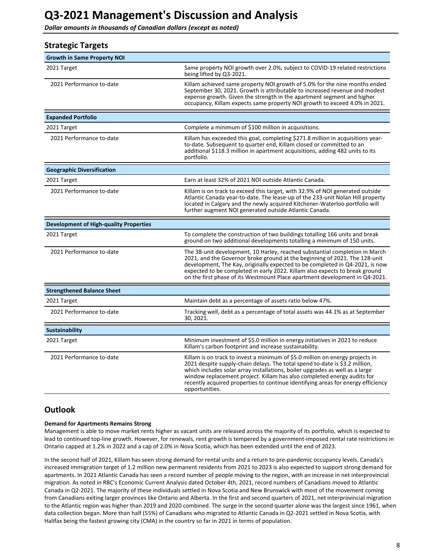<span id="page-7-0"></span>**Dollar amounts in thousands of Canadian dollars (except as noted)** 

| <b>Strategic Targets</b>                      |                                                                                                                                                                                                                                                                                                                                                                                                                               |
|-----------------------------------------------|-------------------------------------------------------------------------------------------------------------------------------------------------------------------------------------------------------------------------------------------------------------------------------------------------------------------------------------------------------------------------------------------------------------------------------|
| <b>Growth in Same Property NOI</b>            |                                                                                                                                                                                                                                                                                                                                                                                                                               |
| 2021 Target                                   | Same property NOI growth over 2.0%, subject to COVID-19 related restrictions<br>being lifted by Q3-2021.                                                                                                                                                                                                                                                                                                                      |
| 2021 Performance to-date                      | Killam achieved same property NOI growth of 5.0% for the nine months ended<br>September 30, 2021. Growth is attributable to increased revenue and modest<br>expense growth. Given the strength in the apartment segment and higher<br>occupancy, Killam expects same property NOI growth to exceed 4.0% in 2021.                                                                                                              |
| <b>Expanded Portfolio</b>                     |                                                                                                                                                                                                                                                                                                                                                                                                                               |
| 2021 Target                                   | Complete a minimum of \$100 million in acquisitions.                                                                                                                                                                                                                                                                                                                                                                          |
| 2021 Performance to-date                      | Killam has exceeded this goal, completing \$271.8 million in acquisitions year-<br>to-date. Subsequent to quarter end, Killam closed or committed to an<br>additional \$118.3 million in apartment acquisitions, adding 482 units to its<br>portfolio.                                                                                                                                                                        |
| <b>Geographic Diversification</b>             |                                                                                                                                                                                                                                                                                                                                                                                                                               |
| 2021 Target                                   | Earn at least 32% of 2021 NOI outside Atlantic Canada.                                                                                                                                                                                                                                                                                                                                                                        |
| 2021 Performance to-date                      | Killam is on track to exceed this target, with 32.9% of NOI generated outside<br>Atlantic Canada year-to-date. The lease-up of the 233-unit Nolan Hill property<br>located in Calgary and the newly acquired Kitchener-Waterloo portfolio will<br>further augment NOI generated outside Atlantic Canada.                                                                                                                      |
| <b>Development of High-quality Properties</b> |                                                                                                                                                                                                                                                                                                                                                                                                                               |
| 2021 Target                                   | To complete the construction of two buildings totalling 166 units and break<br>ground on two additional developments totalling a minimum of 150 units.                                                                                                                                                                                                                                                                        |
| 2021 Performance to-date                      | The 38-unit development, 10 Harley, reached substantial completion in March<br>2021, and the Governor broke ground at the beginning of 2021. The 128-unit<br>development, The Kay, originally expected to be completed in Q4-2021, is now<br>expected to be completed in early 2022. Killam also expects to break ground<br>on the first phase of its Westmount Place apartment development in Q4-2021.                       |
| <b>Strengthened Balance Sheet</b>             |                                                                                                                                                                                                                                                                                                                                                                                                                               |
| 2021 Target                                   | Maintain debt as a percentage of assets ratio below 47%.                                                                                                                                                                                                                                                                                                                                                                      |
| 2021 Performance to-date                      | Tracking well, debt as a percentage of total assets was 44.1% as at September<br>30, 2021.                                                                                                                                                                                                                                                                                                                                    |
| Sustainability                                |                                                                                                                                                                                                                                                                                                                                                                                                                               |
| 2021 Target                                   | Minimum investment of \$5.0 million in energy initiatives in 2021 to reduce<br>Killam's carbon footprint and increase sustainability.                                                                                                                                                                                                                                                                                         |
| 2021 Performance to-date                      | Killam is on track to invest a minimum of \$5.0 million on energy projects in<br>2021 despite supply-chain delays. The total spend to-date is \$3.2 million,<br>which includes solar array installations, boiler upgrades as well as a large<br>window replacement project. Killam has also completed energy audits for<br>recently acquired properties to continue identifying areas for energy efficiency<br>opportunities. |

# **Outlook**

#### **Demand for Apartments Remains Strong**

Management is able to move market rents higher as vacant units are released across the majority of its portfolio, which is expected to lead to continued top-line growth. However, for renewals, rent growth is tempered by a government-imposed rental rate restrictions in Ontario capped at 1.2% in 2022 and a cap of 2.0% in Nova Scotia, which has been extended until the end of 2023.

In the second half of 2021, Killam has seen strong demand for rental units and a return to pre-pandemic occupancy levels. Canada's increased immigration target of 1.2 million new permanent residents from 2021 to 2023 is also expected to support strong demand for apartments. In 2021 Atlantic Canada has seen a record number of people moving to the region, with an increase in net interprovincial migration. As noted in RBC's Economic Current Analysis dated October 4th, 2021, record numbers of Canadians moved to Atlantic Canada in Q2-2021. The majority of these individuals settled in Nova Scotia and New Brunswick with most of the movement coming from Canadians exiting larger provinces like Ontario and Alberta. In the first and second quarters of 2021, net interprovincial migration to the Atlantic region was higher than 2019 and 2020 combined. The surge in the second quarter alone was the largest since 1961, when data collection began. More than half (55%) of Canadians who migrated to Atlantic Canada in Q2-2021 settled in Nova Scotia, with Halifax being the fastest growing city (CMA) in the country so far in 2021 in terms of population.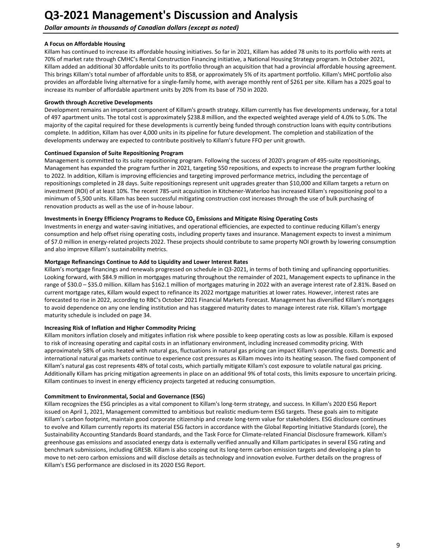**Dollar amounts in thousands of Canadian dollars (except as noted)** 

# **A Focus on Affordable Housing**

Killam has continued to increase its affordable housing initiatives. So far in 2021, Killam has added 78 units to its portfolio with rents at 70% of market rate through CMHC's Rental Construction Financing initiative, a National Housing Strategy program. In October 2021, Killam added an additional 30 affordable units to its portfolio through an acquisition that had a provincial affordable housing agreement. This brings Killam's total number of affordable units to 858, or approximately 5% of its apartment portfolio. Killam's MHC portfolio also provides an affordable living alternative for a single-family home, with average monthly rent of \$261 per site. Killam has a 2025 goal to increase its number of affordable apartment units by 20% from its base of 750 in 2020.

### **Growth through Accretive Developments**

Development remains an important component of Killam's growth strategy. Killam currently has five developments underway, for a total of 497 apartment units. The total cost is approximately \$238.8 million, and the expected weighted average yield of 4.0% to 5.0%. The majority of the capital required for these developments is currently being funded through construction loans with equity contributions complete. In addition, Killam has over 4,000 units in its pipeline for future development. The completion and stabilization of the developments underway are expected to contribute positively to Killam's future FFO per unit growth.

### **Continued Expansion of Suite Repositioning Program**

Management is committed to its suite repositioning program. Following the success of 2020's program of 495-suite repositionings, Management has expanded the program further in 2021, targeting 550 repositions, and expects to increase the program further looking to 2022. In addition, Killam is improving efficiencies and targeting improved performance metrics, including the percentage of repositionings completed in 28 days. Suite repositionings represent unit upgrades greater than \$10,000 and Killam targets a return on investment (ROI) of at least 10%. The recent 785-unit acquisition in Kitchener-Waterloo has increased Killam's repositioning pool to a minimum of 5,500 units. Killam has been successful mitigating construction cost increases through the use of bulk purchasing of renovation products as well as the use of in-house labour.

# Investments in Energy Efficiency Programs to Reduce CO<sub>2</sub> Emissions and Mitigate Rising Operating Costs

Investments in energy and water-saving initiatives, and operational efficiencies, are expected to continue reducing Killam's energy consumption and help offset rising operating costs, including property taxes and insurance. Management expects to invest a minimum of \$7.0 million in energy-related projects 2022. These projects should contribute to same property NOI growth by lowering consumption and also improve Killam's sustainability metrics.

### **Mortgage Refinancings Continue to Add to Liquidity and Lower Interest Rates**

Killam's mortgage financings and renewals progressed on schedule in Q3-2021, in terms of both timing and upfinancing opportunities. Looking forward, with \$84.9 million in mortgages maturing throughout the remainder of 2021, Management expects to upfinance in the range of \$30.0 - \$35.0 million. Killam has \$162.1 million of mortgages maturing in 2022 with an average interest rate of 2.81%. Based on current mortgage rates, Killam would expect to refinance its 2022 mortgage maturities at lower rates. However, interest rates are forecasted to rise in 2022, according to RBC's October 2021 Financial Markets Forecast. Management has diversified Killam's mortgages to avoid dependence on any one lending institution and has staggered maturity dates to manage interest rate risk. Killam's mortgage maturity schedule is included on page 34.

#### **Increasing Risk of Inflation and Higher Commodity Pricing**

Killam monitors inflation closely and mitigates inflation risk where possible to keep operating costs as low as possible. Killam is exposed to risk of increasing operating and capital costs in an inflationary environment, including increased commodity pricing. With approximately 58% of units heated with natural gas, fluctuations in natural gas pricing can impact Killam's operating costs. Domestic and international natural gas markets continue to experience cost pressures as Killam moves into its heating season. The fixed component of Killam's natural gas cost represents 48% of total costs, which partially mitigate Killam's cost exposure to volatile natural gas pricing. Additionally Killam has pricing mitigation agreements in place on an additional 9% of total costs, this limits exposure to uncertain pricing. Killam continues to invest in energy efficiency projects targeted at reducing consumption.

#### **Commitment to Environmental, Social and Governance (ESG)**

Killam recognizes the ESG principles as a vital component to Killam's long-term strategy, and success. In Killam's 2020 ESG Report issued on April 1, 2021, Management committed to ambitious but realistic medium-term ESG targets. These goals aim to mitigate Killam's carbon footprint, maintain good corporate citizenship and create long-term value for stakeholders. ESG disclosure continues to evolve and Killam currently reports its material ESG factors in accordance with the Global Reporting Initiative Standards (core), the Sustainability Accounting Standards Board standards, and the Task Force for Climate-related Financial Disclosure framework. Killam's greenhouse gas emissions and associated energy data is externally verified annually and Killam participates in several ESG rating and benchmark submissions, including GRESB. Killam is also scoping out its long-term carbon emission targets and developing a plan to move to net-zero carbon emissions and will disclose details as technology and innovation evolve. Further details on the progress of Killam's ESG performance are disclosed in its 2020 ESG Report.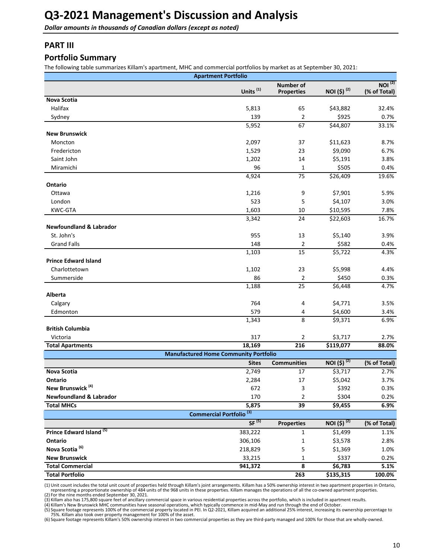<span id="page-9-0"></span>**Dollar amounts in thousands of Canadian dollars (except as noted)** 

# **PART III**

# **Portfolio Summary**

The following table summarizes Killam's apartment, MHC and commercial portfolios by market as at September 30, 2021:

|                                     | <b>Apartment Portfolio</b>                   |                                       |                         |                                    |
|-------------------------------------|----------------------------------------------|---------------------------------------|-------------------------|------------------------------------|
|                                     | Units <sup>(1)</sup>                         | <b>Number of</b><br><b>Properties</b> | NOI (\$) <sup>(2)</sup> | NOI <sup>(2)</sup><br>(% of Total) |
| <b>Nova Scotia</b>                  |                                              |                                       |                         |                                    |
| Halifax                             | 5,813                                        | 65                                    | \$43,882                | 32.4%                              |
| Sydney                              | 139                                          | 2                                     | \$925                   | 0.7%                               |
|                                     | 5,952                                        | 67                                    | \$44,807                | 33.1%                              |
| <b>New Brunswick</b>                |                                              |                                       |                         |                                    |
| Moncton                             | 2,097                                        | 37                                    | \$11,623                | 8.7%                               |
| Fredericton                         | 1,529                                        | 23                                    | \$9,090                 | 6.7%                               |
| Saint John                          | 1,202                                        | 14                                    | \$5,191                 | 3.8%                               |
| Miramichi                           | 96                                           | 1                                     | \$505                   | 0.4%                               |
|                                     | 4,924                                        | 75                                    | \$26,409                | 19.6%                              |
| Ontario                             |                                              |                                       |                         |                                    |
| Ottawa                              | 1,216                                        | 9                                     | \$7,901                 | 5.9%                               |
| London                              | 523                                          | 5                                     | \$4,107                 | 3.0%                               |
| <b>KWC-GTA</b>                      | 1,603                                        | 10                                    | \$10,595                | 7.8%                               |
|                                     | 3,342                                        | 24                                    | \$22,603                | 16.7%                              |
| <b>Newfoundland &amp; Labrador</b>  |                                              |                                       |                         |                                    |
| St. John's                          | 955                                          | 13                                    | \$5,140                 | 3.9%                               |
| <b>Grand Falls</b>                  | 148                                          | 2                                     | \$582                   | 0.4%                               |
|                                     | 1,103                                        | 15                                    | \$5,722                 | 4.3%                               |
| <b>Prince Edward Island</b>         |                                              |                                       |                         |                                    |
| Charlottetown                       | 1,102                                        | 23                                    | \$5,998                 | 4.4%                               |
| Summerside                          | 86                                           | $\overline{2}$                        | \$450                   | 0.3%                               |
|                                     | 1,188                                        | 25                                    | \$6,448                 | 4.7%                               |
| Alberta                             |                                              |                                       |                         |                                    |
| Calgary                             | 764                                          | 4                                     | \$4,771                 | 3.5%                               |
| Edmonton                            | 579                                          | 4                                     | \$4,600                 | 3.4%                               |
|                                     | 1,343                                        | 8                                     | \$9,371                 | 6.9%                               |
| <b>British Columbia</b>             |                                              |                                       |                         |                                    |
| Victoria                            | 317                                          | 2                                     | \$3,717                 | 2.7%                               |
| <b>Total Apartments</b>             | 18,169                                       | 216                                   | \$119,077               | 88.0%                              |
|                                     | <b>Manufactured Home Community Portfolio</b> |                                       |                         |                                    |
|                                     | <b>Sites</b>                                 | <b>Communities</b>                    | NOI $(5)^{(2)}$         | (% of Total)                       |
| <b>Nova Scotia</b>                  | 2,749                                        | 17                                    | \$3,717                 | 2.7%                               |
| Ontario                             | 2,284                                        | 17                                    | \$5,042                 | 3.7%                               |
| New Brunswick <sup>(4)</sup>        | 672                                          | 3                                     | \$392                   | 0.3%                               |
| <b>Newfoundland &amp; Labrador</b>  | 170                                          | 2                                     | \$304                   | 0.2%                               |
| <b>Total MHCs</b>                   | 5,875                                        | 39                                    | \$9,455                 | 6.9%                               |
|                                     | Commercial Portfolio <sup>(3)</sup>          |                                       |                         |                                    |
|                                     | SF <sup>(5)</sup>                            | <b>Properties</b>                     | NOI (\$) <sup>(2)</sup> | (% of Total)                       |
| Prince Edward Island <sup>(5)</sup> | 383,222                                      | $\mathbf 1$                           | \$1,499                 | 1.1%                               |
| Ontario                             | 306,106                                      | 1                                     | \$3,578                 | 2.8%                               |
| Nova Scotia <sup>(6)</sup>          | 218,829                                      | 5                                     | \$1,369                 | 1.0%                               |
| <b>New Brunswick</b>                | 33,215                                       | $\mathbf{1}$                          | \$337                   | 0.2%                               |
| <b>Total Commercial</b>             | 941,372                                      | 8                                     | \$6,783                 | 5.1%                               |
| <b>Total Portfolio</b>              |                                              | 263                                   | \$135,315               | 100.0%                             |

(1) Unit count includes the total unit count of properties held through Killam's joint arrangements. Killam has a 50% ownership interest in two apartment properties in Ontario,

representing a proportionate ownership of 484 units of the 968 units in these properties. Killam manages the operations of all the co-owned apartment properties.<br>(2) For the nine months ended September 30, 2021.<br>(3) Killam

(6) Square footage represents Killam's 50% ownership interest in two commercial properties as they are third-party managed and 100% for those that are wholly-owned.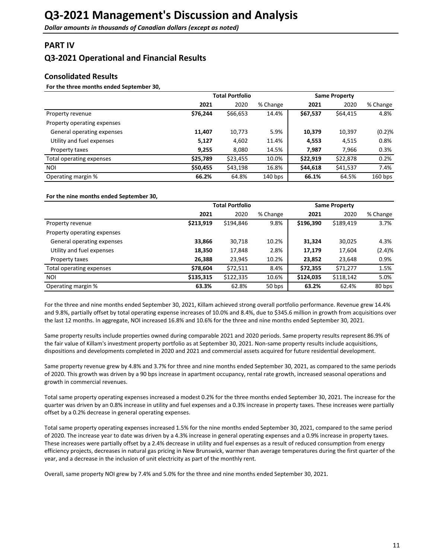# <span id="page-10-0"></span>**PART IV**

# **Q3-2021 Operational and Financial Results**

# **Consolidated Results**

### For the three months ended September 30,

|                             |          | <b>Total Portfolio</b> |           |          | <b>Same Property</b> |           |
|-----------------------------|----------|------------------------|-----------|----------|----------------------|-----------|
|                             | 2021     | 2020                   | % Change  | 2021     | 2020                 | % Change  |
| Property revenue            | \$76,244 | \$66,653               | 14.4%     | \$67,537 | \$64,415             | 4.8%      |
| Property operating expenses |          |                        |           |          |                      |           |
| General operating expenses  | 11,407   | 10,773                 | 5.9%      | 10,379   | 10,397               | (0.2)%    |
| Utility and fuel expenses   | 5,127    | 4,602                  | 11.4%     | 4,553    | 4,515                | 0.8%      |
| Property taxes              | 9,255    | 8,080                  | 14.5%     | 7,987    | 7,966                | 0.3%      |
| Total operating expenses    | \$25,789 | \$23,455               | 10.0%     | \$22,919 | \$22,878             | 0.2%      |
| <b>NOI</b>                  | \$50,455 | \$43,198               | 16.8%     | \$44,618 | \$41,537             | 7.4%      |
| Operating margin %          | 66.2%    | 64.8%                  | $140$ bps | 66.1%    | 64.5%                | $160$ bps |

#### For the nine months ended September 30,

|                             |           | <b>Total Portfolio</b> |          |           | <b>Same Property</b> |          |
|-----------------------------|-----------|------------------------|----------|-----------|----------------------|----------|
|                             | 2021      | 2020                   | % Change | 2021      | 2020                 | % Change |
| Property revenue            | \$213,919 | \$194,846              | 9.8%     | \$196,390 | \$189,419            | 3.7%     |
| Property operating expenses |           |                        |          |           |                      |          |
| General operating expenses  | 33,866    | 30,718                 | 10.2%    | 31,324    | 30,025               | 4.3%     |
| Utility and fuel expenses   | 18,350    | 17,848                 | 2.8%     | 17,179    | 17,604               | (2.4)%   |
| Property taxes              | 26,388    | 23,945                 | 10.2%    | 23,852    | 23,648               | 0.9%     |
| Total operating expenses    | \$78,604  | \$72,511               | 8.4%     | \$72,355  | \$71,277             | 1.5%     |
| NOI                         | \$135,315 | \$122,335              | 10.6%    | \$124,035 | \$118,142            | 5.0%     |
| Operating margin %          | 63.3%     | 62.8%                  | 50 bps   | 63.2%     | 62.4%                | 80 bps   |

For the three and nine months ended September 30, 2021, Killam achieved strong overall portfolio performance. Revenue grew 14.4% and 9.8%, partially offset by total operating expense increases of 10.0% and 8.4%, due to \$345.6 million in growth from acquisitions over the last 12 months. In aggregate, NOI increased 16.8% and 10.6% for the three and nine months ended September 30, 2021.

Same property results include properties owned during comparable 2021 and 2020 periods. Same property results represent 86.9% of the fair value of Killam's investment property portfolio as at September 30, 2021. Non-same property results include acquisitions, dispositions and developments completed in 2020 and 2021 and commercial assets acquired for future residential development.

Same property revenue grew by 4.8% and 3.7% for three and nine months ended September 30, 2021, as compared to the same periods of 2020. This growth was driven by a 90 bps increase in apartment occupancy, rental rate growth, increased seasonal operations and growth in commercial revenues.

Total same property operating expenses increased a modest 0.2% for the three months ended September 30, 2021. The increase for the quarter was driven by an 0.8% increase in utility and fuel expenses and a 0.3% increase in property taxes. These increases were partially offset by a 0.2% decrease in general operating expenses.

Total same property operating expenses increased 1.5% for the nine months ended September 30, 2021, compared to the same period of 2020. The increase year to date was driven by a 4.3% increase in general operating expenses and a 0.9% increase in property taxes. These increases were partially offset by a 2.4% decrease in utility and fuel expenses as a result of reduced consumption from energy efficiency projects, decreases in natural gas pricing in New Brunswick, warmer than average temperatures during the first quarter of the year, and a decrease in the inclusion of unit electricity as part of the monthly rent.

Overall, same property NOI grew by 7.4% and 5.0% for the three and nine months ended September 30, 2021.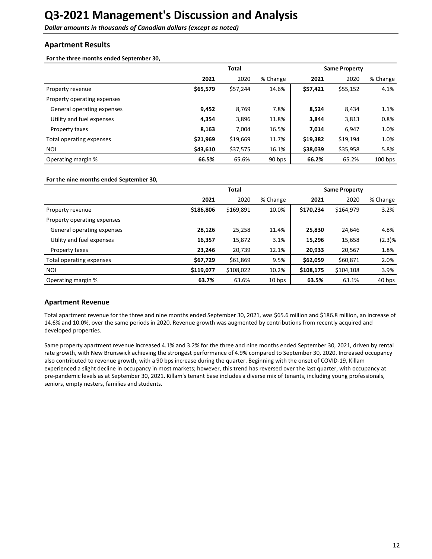<span id="page-11-0"></span>**Dollar amounts in thousands of Canadian dollars (except as noted)** 

# **Apartment Results**

For the three months ended September 30,

|                             |          | <b>Total</b><br><b>Same Property</b> |          |          |          |           |  |  |
|-----------------------------|----------|--------------------------------------|----------|----------|----------|-----------|--|--|
|                             | 2021     | 2020                                 | % Change | 2021     | 2020     | % Change  |  |  |
| Property revenue            | \$65,579 | \$57,244                             | 14.6%    | \$57,421 | \$55,152 | 4.1%      |  |  |
| Property operating expenses |          |                                      |          |          |          |           |  |  |
| General operating expenses  | 9,452    | 8,769                                | 7.8%     | 8,524    | 8,434    | 1.1%      |  |  |
| Utility and fuel expenses   | 4,354    | 3,896                                | 11.8%    | 3,844    | 3,813    | 0.8%      |  |  |
| Property taxes              | 8,163    | 7,004                                | 16.5%    | 7.014    | 6,947    | 1.0%      |  |  |
| Total operating expenses    | \$21,969 | \$19,669                             | 11.7%    | \$19,382 | \$19,194 | 1.0%      |  |  |
| NOI                         | \$43,610 | \$37,575                             | 16.1%    | \$38,039 | \$35,958 | 5.8%      |  |  |
| Operating margin %          | 66.5%    | 65.6%                                | 90 bps   | 66.2%    | 65.2%    | $100$ bps |  |  |

#### For the nine months ended September 30,

|                             |           | <b>Total</b> |                   |           | <b>Same Property</b> |          |
|-----------------------------|-----------|--------------|-------------------|-----------|----------------------|----------|
|                             | 2021      | 2020         | % Change          | 2021      | 2020                 | % Change |
| Property revenue            | \$186,806 | \$169,891    | 10.0%             | \$170,234 | \$164,979            | 3.2%     |
| Property operating expenses |           |              |                   |           |                      |          |
| General operating expenses  | 28,126    | 25,258       | 11.4%             | 25,830    | 24,646               | 4.8%     |
| Utility and fuel expenses   | 16,357    | 15,872       | 3.1%              | 15,296    | 15,658               | (2.3)%   |
| Property taxes              | 23.246    | 20,739       | 12.1%             | 20,933    | 20,567               | 1.8%     |
| Total operating expenses    | \$67,729  | \$61,869     | 9.5%              | \$62,059  | \$60,871             | 2.0%     |
| NOI                         | \$119,077 | \$108,022    | 10.2%             | \$108,175 | \$104,108            | 3.9%     |
| Operating margin %          | 63.7%     | 63.6%        | 10 <sub>bps</sub> | 63.5%     | 63.1%                | 40 bps   |

#### **Apartment Revenue**

Total apartment revenue for the three and nine months ended September 30, 2021, was \$65.6 million and \$186.8 million, an increase of 14.6% and 10.0%, over the same periods in 2020. Revenue growth was augmented by contributions from recently acquired and developed properties.

Same property apartment revenue increased 4.1% and 3.2% for the three and nine months ended September 30, 2021, driven by rental rate growth, with New Brunswick achieving the strongest performance of 4.9% compared to September 30, 2020. Increased occupancy also contributed to revenue growth, with a 90 bps increase during the quarter. Beginning with the onset of COVID-19, Killam experienced a slight decline in occupancy in most markets; however, this trend has reversed over the last quarter, with occupancy at pre-pandemic levels as at September 30, 2021. Killam's tenant base includes a diverse mix of tenants, including young professionals, seniors, empty nesters, families and students.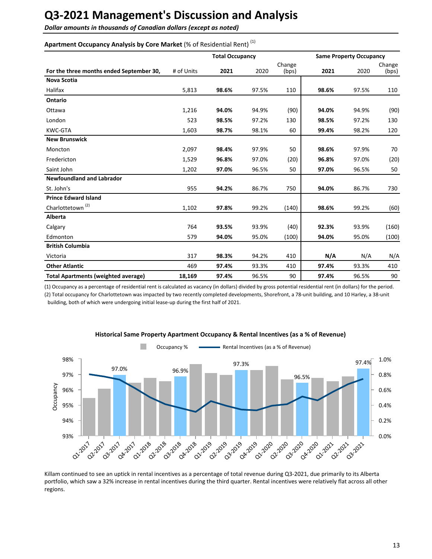**Dollar amounts in thousands of Canadian dollars (except as noted)** 

# Apartment Occupancy Analysis by Core Market (% of Residential Rent)<sup>(1)</sup>

|                                            |            | <b>Total Occupancy</b> |       |                 |       | <b>Same Property Occupancy</b> |                 |  |
|--------------------------------------------|------------|------------------------|-------|-----------------|-------|--------------------------------|-----------------|--|
| For the three months ended September 30,   | # of Units | 2021                   | 2020  | Change<br>(bps) | 2021  | 2020                           | Change<br>(bps) |  |
| <b>Nova Scotia</b>                         |            |                        |       |                 |       |                                |                 |  |
| <b>Halifax</b>                             | 5,813      | 98.6%                  | 97.5% | 110             | 98.6% | 97.5%                          | 110             |  |
| Ontario                                    |            |                        |       |                 |       |                                |                 |  |
| Ottawa                                     | 1,216      | 94.0%                  | 94.9% | (90)            | 94.0% | 94.9%                          | (90)            |  |
| London                                     | 523        | 98.5%                  | 97.2% | 130             | 98.5% | 97.2%                          | 130             |  |
| <b>KWC-GTA</b>                             | 1,603      | 98.7%                  | 98.1% | 60              | 99.4% | 98.2%                          | 120             |  |
| <b>New Brunswick</b>                       |            |                        |       |                 |       |                                |                 |  |
| Moncton                                    | 2,097      | 98.4%                  | 97.9% | 50              | 98.6% | 97.9%                          | 70              |  |
| Fredericton                                | 1,529      | 96.8%                  | 97.0% | (20)            | 96.8% | 97.0%                          | (20)            |  |
| Saint John                                 | 1,202      | 97.0%                  | 96.5% | 50              | 97.0% | 96.5%                          | 50              |  |
| <b>Newfoundland and Labrador</b>           |            |                        |       |                 |       |                                |                 |  |
| St. John's                                 | 955        | 94.2%                  | 86.7% | 750             | 94.0% | 86.7%                          | 730             |  |
| <b>Prince Edward Island</b>                |            |                        |       |                 |       |                                |                 |  |
| Charlottetown <sup>(2)</sup>               | 1,102      | 97.8%                  | 99.2% | (140)           | 98.6% | 99.2%                          | (60)            |  |
| Alberta                                    |            |                        |       |                 |       |                                |                 |  |
| Calgary                                    | 764        | 93.5%                  | 93.9% | (40)            | 92.3% | 93.9%                          | (160)           |  |
| Edmonton                                   | 579        | 94.0%                  | 95.0% | (100)           | 94.0% | 95.0%                          | (100)           |  |
| <b>British Columbia</b>                    |            |                        |       |                 |       |                                |                 |  |
| Victoria                                   | 317        | 98.3%                  | 94.2% | 410             | N/A   | N/A                            | N/A             |  |
| <b>Other Atlantic</b>                      | 469        | 97.4%                  | 93.3% | 410             | 97.4% | 93.3%                          | 410             |  |
| <b>Total Apartments (weighted average)</b> | 18,169     | 97.4%                  | 96.5% | 90              | 97.4% | 96.5%                          | 90              |  |

(1) Occupancy as a percentage of residential rent is calculated as vacancy (in dollars) divided by gross potential residential rent (in dollars) for the period. (2) Total occupancy for Charlottetown was impacted by two recently completed developments, Shorefront, a 78-unit building, and 10 Harley, a 38-unit building, both of which were undergoing initial lease-up during the first half of 2021.



#### **Historical Same Property Apartment Occupancy & Rental Incentives (as a % of Revenue)**

Killam continued to see an uptick in rental incentives as a percentage of total revenue during Q3-2021, due primarily to its Alberta portfolio, which saw a 32% increase in rental incentives during the third quarter. Rental incentives were relatively flat across all other regions.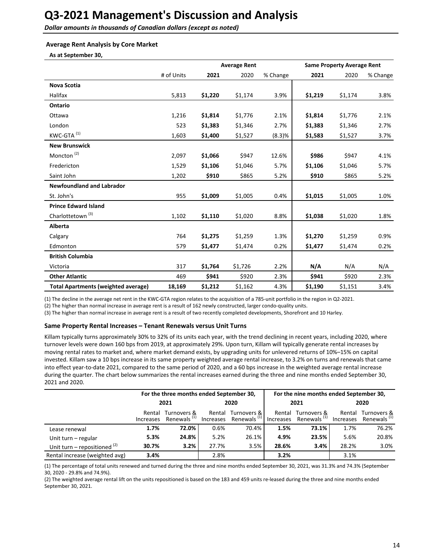**Dollar amounts in thousands of Canadian dollars (except as noted)** 

### **Average Rent Analysis by Core Market**

**As at September 30,**

|                                            |            |         | <b>Average Rent</b> |          |         | <b>Same Property Average Rent</b> |          |  |
|--------------------------------------------|------------|---------|---------------------|----------|---------|-----------------------------------|----------|--|
|                                            | # of Units | 2021    | 2020                | % Change | 2021    | 2020                              | % Change |  |
| <b>Nova Scotia</b>                         |            |         |                     |          |         |                                   |          |  |
| Halifax                                    | 5,813      | \$1,220 | \$1,174             | 3.9%     | \$1,219 | \$1,174                           | 3.8%     |  |
| Ontario                                    |            |         |                     |          |         |                                   |          |  |
| Ottawa                                     | 1,216      | \$1,814 | \$1,776             | 2.1%     | \$1,814 | \$1,776                           | 2.1%     |  |
| London                                     | 523        | \$1,383 | \$1,346             | 2.7%     | \$1,383 | \$1,346                           | 2.7%     |  |
| KWC-GTA <sup>(1)</sup>                     | 1,603      | \$1,400 | \$1,527             | (8.3)%   | \$1,583 | \$1,527                           | 3.7%     |  |
| <b>New Brunswick</b>                       |            |         |                     |          |         |                                   |          |  |
| Moncton <sup>(2)</sup>                     | 2,097      | \$1,066 | \$947               | 12.6%    | \$986   | \$947                             | 4.1%     |  |
| Fredericton                                | 1,529      | \$1,106 | \$1,046             | 5.7%     | \$1,106 | \$1,046                           | 5.7%     |  |
| Saint John                                 | 1,202      | \$910   | \$865               | 5.2%     | \$910   | \$865                             | 5.2%     |  |
| <b>Newfoundland and Labrador</b>           |            |         |                     |          |         |                                   |          |  |
| St. John's                                 | 955        | \$1,009 | \$1,005             | 0.4%     | \$1,015 | \$1,005                           | 1.0%     |  |
| <b>Prince Edward Island</b>                |            |         |                     |          |         |                                   |          |  |
| Charlottetown <sup>(3)</sup>               | 1,102      | \$1,110 | \$1,020             | 8.8%     | \$1,038 | \$1,020                           | 1.8%     |  |
| Alberta                                    |            |         |                     |          |         |                                   |          |  |
| Calgary                                    | 764        | \$1,275 | \$1,259             | 1.3%     | \$1,270 | \$1,259                           | 0.9%     |  |
| Edmonton                                   | 579        | \$1,477 | \$1,474             | 0.2%     | \$1,477 | \$1,474                           | 0.2%     |  |
| <b>British Columbia</b>                    |            |         |                     |          |         |                                   |          |  |
| Victoria                                   | 317        | \$1,764 | \$1,726             | 2.2%     | N/A     | N/A                               | N/A      |  |
| <b>Other Atlantic</b>                      | 469        | \$941   | \$920               | 2.3%     | \$941   | \$920                             | 2.3%     |  |
| <b>Total Apartments (weighted average)</b> | 18,169     | \$1,212 | \$1,162             | 4.3%     | \$1,190 | \$1,151                           | 3.4%     |  |

(1) The decline in the average net rent in the KWC-GTA region relates to the acquisition of a 785-unit portfolio in the region in Q2-2021.

(2) The higher than normal increase in average rent is a result of 162 newly constructed, larger condo-quality units.

(3) The higher than normal increase in average rent is a result of two recently completed developments, Shorefront and 10 Harley.

#### Same Property Rental Increases - Tenant Renewals versus Unit Turns

Killam typically turns approximately 30% to 32% of its units each year, with the trend declining in recent years, including 2020, where turnover levels were down 160 bps from 2019, at approximately 29%. Upon turn, Killam will typically generate rental increases by moving rental rates to market and, where market demand exists, by upgrading units for unlevered returns of 10%–15% on capital invested. Killam saw a 10 bps increase in its same property weighted average rental increase, to 3.2% on turns and renewals that came into effect year-to-date 2021, compared to the same period of 2020, and a 60 bps increase in the weighted average rental increase during the quarter. The chart below summarizes the rental increases earned during the three and nine months ended September 30, 2021 and 2020.

|                                |                     | For the three months ended September 30, |                     |                                               |                     | For the nine months ended September 30, |        |                                                  |  |
|--------------------------------|---------------------|------------------------------------------|---------------------|-----------------------------------------------|---------------------|-----------------------------------------|--------|--------------------------------------------------|--|
|                                | 2021                |                                          |                     | 2020                                          |                     | 2021                                    |        | 2020                                             |  |
|                                | Rental<br>Increases | Turnovers &<br>Renewals <sup>(1)</sup>   | Rental<br>Increases | Turnovers & I<br>Renewals <sup>(1)</sup>   1. | Rental<br>Increases | Turnovers &<br>Renewals <sup>(1)</sup>  | Rental | Turnovers &<br>Increases Renewals <sup>(1)</sup> |  |
| Lease renewal                  | 1.7%                | 72.0%                                    | 0.6%                | 70.4%                                         | 1.5%                | 73.1%                                   | 1.7%   | 76.2%                                            |  |
| Unit turn - regular            | 5.3%                | 24.8%                                    | 5.2%                | 26.1%                                         | 4.9%                | 23.5%                                   | 5.6%   | 20.8%                                            |  |
| Unit turn – repositioned $(2)$ | 30.7%               | 3.2%                                     | 27.7%               | 3.5%                                          | 28.6%               | 3.4%                                    | 28.2%  | 3.0%                                             |  |
| Rental increase (weighted avg) | 3.4%                |                                          | 2.8%                |                                               | 3.2%                |                                         | 3.1%   |                                                  |  |

(1) The percentage of total units renewed and turned during the three and nine months ended September 30, 2021, was 31.3% and 74.3% (September 30, 2020 - 29.8% and 74.9%).

(2) The weighted average rental lift on the units repositioned is based on the 183 and 459 units re-leased during the three and nine months ended September 30, 2021.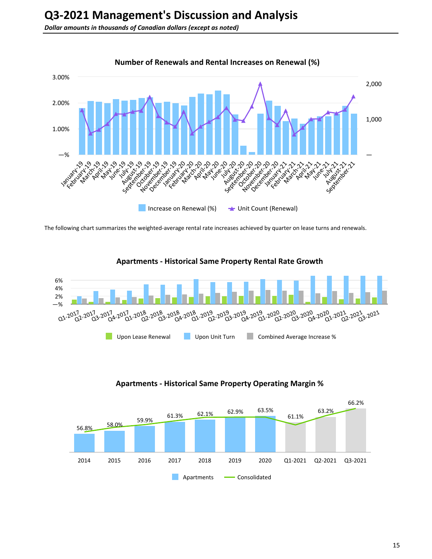

The following chart summarizes the weighted-average rental rate increases achieved by quarter on lease turns and renewals.





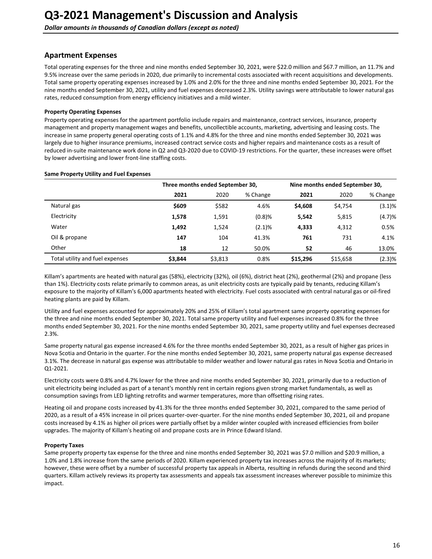## **Apartment Expenses**

Total operating expenses for the three and nine months ended September 30, 2021, were \$22.0 million and \$67.7 million, an 11.7% and 9.5% increase over the same periods in 2020, due primarily to incremental costs associated with recent acquisitions and developments. Total same property operating expenses increased by 1.0% and 2.0% for the three and nine months ended September 30, 2021. For the nine months ended September 30, 2021, utility and fuel expenses decreased 2.3%. Utility savings were attributable to lower natural gas rates, reduced consumption from energy efficiency initiatives and a mild winter.

#### **Property Operating Expenses**

Property operating expenses for the apartment portfolio include repairs and maintenance, contract services, insurance, property management and property management wages and benefits, uncollectible accounts, marketing, advertising and leasing costs. The increase in same property general operating costs of 1.1% and 4.8% for the three and nine months ended September 30, 2021 was largely due to higher insurance premiums, increased contract service costs and higher repairs and maintenance costs as a result of reduced in-suite maintenance work done in Q2 and Q3-2020 due to COVID-19 restrictions. For the quarter, these increases were offset by lower advertising and lower front-line staffing costs.

#### **Same Property Utility and Fuel Expenses**

|                                 |         | Three months ended September 30, |           |          | Nine months ended September 30, |          |  |  |
|---------------------------------|---------|----------------------------------|-----------|----------|---------------------------------|----------|--|--|
|                                 | 2021    | 2020                             | % Change  | 2021     | 2020                            | % Change |  |  |
| Natural gas                     | \$609   | \$582                            | 4.6%      | \$4,608  | \$4,754                         | (3.1)%   |  |  |
| Electricity                     | 1,578   | 1,591                            | (0.8)%    | 5,542    | 5,815                           | (4.7)%   |  |  |
| Water                           | 1,492   | 1,524                            | $(2.1)\%$ | 4,333    | 4,312                           | 0.5%     |  |  |
| Oil & propane                   | 147     | 104                              | 41.3%     | 761      | 731                             | 4.1%     |  |  |
| Other                           | 18      | 12                               | 50.0%     | 52       | 46                              | 13.0%    |  |  |
| Total utility and fuel expenses | \$3,844 | \$3,813                          | 0.8%      | \$15,296 | \$15,658                        | (2.3)%   |  |  |

Killam's apartments are heated with natural gas (58%), electricity (32%), oil (6%), district heat (2%), geothermal (2%) and propane (less than 1%). Electricity costs relate primarily to common areas, as unit electricity costs are typically paid by tenants, reducing Killam's exposure to the majority of Killam's 6,000 apartments heated with electricity. Fuel costs associated with central natural gas or oil-fired heating plants are paid by Killam.

Utility and fuel expenses accounted for approximately 20% and 25% of Killam's total apartment same property operating expenses for the three and nine months ended September 30, 2021. Total same property utility and fuel expenses increased 0.8% for the three months ended September 30, 2021. For the nine months ended September 30, 2021, same property utility and fuel expenses decreased 2.3%.

Same property natural gas expense increased 4.6% for the three months ended September 30, 2021, as a result of higher gas prices in Nova Scotia and Ontario in the quarter. For the nine months ended September 30, 2021, same property natural gas expense decreased 3.1%. The decrease in natural gas expense was attributable to milder weather and lower natural gas rates in Nova Scotia and Ontario in Q1-2021. 

Electricity costs were 0.8% and 4.7% lower for the three and nine months ended September 30, 2021, primarily due to a reduction of unit electricity being included as part of a tenant's monthly rent in certain regions given strong market fundamentals, as well as consumption savings from LED lighting retrofits and warmer temperatures, more than offsetting rising rates.

Heating oil and propane costs increased by 41.3% for the three months ended September 30, 2021, compared to the same period of 2020, as a result of a 45% increase in oil prices quarter-over-quarter. For the nine months ended September 30, 2021, oil and propane costs increased by 4.1% as higher oil prices were partially offset by a milder winter coupled with increased efficiencies from boiler upgrades. The majority of Killam's heating oil and propane costs are in Prince Edward Island.

#### **Property Taxes**

Same property property tax expense for the three and nine months ended September 30, 2021 was \$7.0 million and \$20.9 million, a 1.0% and 1.8% increase from the same periods of 2020. Killam experienced property tax increases across the majority of its markets; however, these were offset by a number of successful property tax appeals in Alberta, resulting in refunds during the second and third guarters. Killam actively reviews its property tax assessments and appeals tax assessment increases wherever possible to minimize this impact.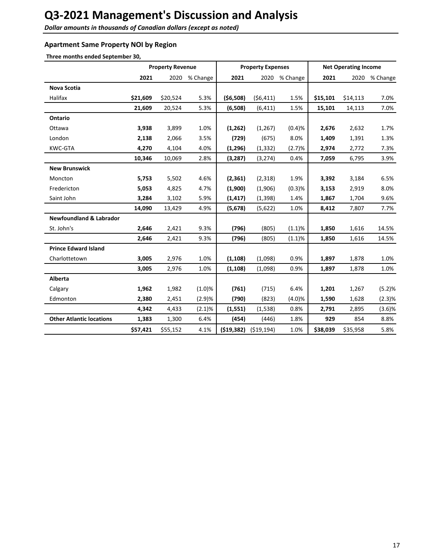**Dollar amounts in thousands of Canadian dollars (except as noted)** 

# **Apartment Same Property NOI by Region**

Three months ended September 30,

|                                    |          | <b>Property Revenue</b> |           |            | <b>Property Expenses</b> |               |          | <b>Net Operating Income</b> |          |
|------------------------------------|----------|-------------------------|-----------|------------|--------------------------|---------------|----------|-----------------------------|----------|
|                                    | 2021     | 2020                    | % Change  | 2021       |                          | 2020 % Change | 2021     | 2020                        | % Change |
| <b>Nova Scotia</b>                 |          |                         |           |            |                          |               |          |                             |          |
| Halifax                            | \$21,609 | \$20,524                | 5.3%      | (56,508)   | (56, 411)                | 1.5%          | \$15,101 | \$14,113                    | 7.0%     |
|                                    | 21,609   | 20,524                  | 5.3%      | (6,508)    | (6, 411)                 | 1.5%          | 15,101   | 14,113                      | 7.0%     |
| <b>Ontario</b>                     |          |                         |           |            |                          |               |          |                             |          |
| Ottawa                             | 3,938    | 3,899                   | 1.0%      | (1,262)    | (1, 267)                 | (0.4)%        | 2,676    | 2,632                       | 1.7%     |
| London                             | 2,138    | 2,066                   | 3.5%      | (729)      | (675)                    | 8.0%          | 1,409    | 1,391                       | 1.3%     |
| KWC-GTA                            | 4,270    | 4,104                   | 4.0%      | (1, 296)   | (1, 332)                 | (2.7)%        | 2,974    | 2,772                       | 7.3%     |
|                                    | 10,346   | 10,069                  | 2.8%      | (3, 287)   | (3,274)                  | 0.4%          | 7,059    | 6,795                       | 3.9%     |
| <b>New Brunswick</b>               |          |                         |           |            |                          |               |          |                             |          |
| Moncton                            | 5,753    | 5,502                   | 4.6%      | (2, 361)   | (2,318)                  | 1.9%          | 3,392    | 3,184                       | 6.5%     |
| Fredericton                        | 5,053    | 4,825                   | 4.7%      | (1,900)    | (1,906)                  | (0.3)%        | 3,153    | 2,919                       | 8.0%     |
| Saint John                         | 3,284    | 3,102                   | 5.9%      | (1, 417)   | (1, 398)                 | 1.4%          | 1,867    | 1,704                       | 9.6%     |
|                                    | 14,090   | 13,429                  | 4.9%      | (5,678)    | (5,622)                  | 1.0%          | 8,412    | 7,807                       | 7.7%     |
| <b>Newfoundland &amp; Labrador</b> |          |                         |           |            |                          |               |          |                             |          |
| St. John's                         | 2,646    | 2,421                   | 9.3%      | (796)      | (805)                    | (1.1)%        | 1,850    | 1,616                       | 14.5%    |
|                                    | 2,646    | 2,421                   | 9.3%      | (796)      | (805)                    | (1.1)%        | 1,850    | 1,616                       | 14.5%    |
| <b>Prince Edward Island</b>        |          |                         |           |            |                          |               |          |                             |          |
| Charlottetown                      | 3,005    | 2,976                   | 1.0%      | (1, 108)   | (1,098)                  | 0.9%          | 1,897    | 1,878                       | 1.0%     |
|                                    | 3,005    | 2,976                   | 1.0%      | (1, 108)   | (1,098)                  | 0.9%          | 1,897    | 1,878                       | 1.0%     |
| <b>Alberta</b>                     |          |                         |           |            |                          |               |          |                             |          |
| Calgary                            | 1,962    | 1,982                   | (1.0)%    | (761)      | (715)                    | 6.4%          | 1,201    | 1,267                       | (5.2)%   |
| Edmonton                           | 2,380    | 2,451                   | (2.9)%    | (790)      | (823)                    | (4.0)%        | 1,590    | 1,628                       | (2.3)%   |
|                                    | 4,342    | 4,433                   | $(2.1)\%$ | (1, 551)   | (1, 538)                 | 0.8%          | 2,791    | 2,895                       | (3.6)%   |
| <b>Other Atlantic locations</b>    | 1,383    | 1,300                   | 6.4%      | (454)      | (446)                    | 1.8%          | 929      | 854                         | 8.8%     |
|                                    | \$57,421 | \$55,152                | 4.1%      | (519, 382) | (519, 194)               | 1.0%          | \$38,039 | \$35,958                    | 5.8%     |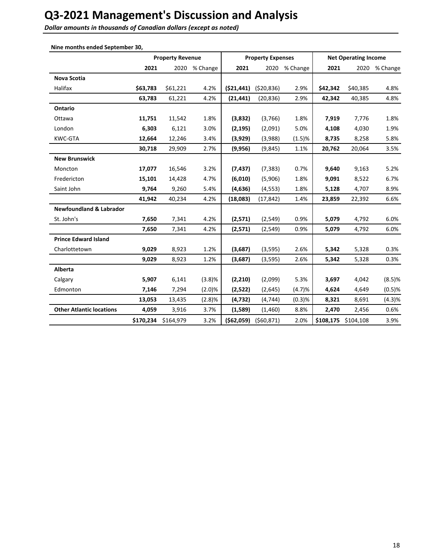**Dollar amounts in thousands of Canadian dollars (except as noted)** 

|                                    |           | <b>Property Revenue</b> |          |             | <b>Property Expenses</b> |          | <b>Net Operating Income</b> |           |               |
|------------------------------------|-----------|-------------------------|----------|-------------|--------------------------|----------|-----------------------------|-----------|---------------|
|                                    | 2021      | 2020                    | % Change | 2021        | 2020                     | % Change | 2021                        |           | 2020 % Change |
| Nova Scotia                        |           |                         |          |             |                          |          |                             |           |               |
| Halifax                            | \$63,783  | \$61,221                | 4.2%     | (521, 441)  | (520, 836)               | 2.9%     | \$42,342                    | \$40,385  | 4.8%          |
|                                    | 63,783    | 61,221                  | 4.2%     | (21, 441)   | (20, 836)                | 2.9%     | 42,342                      | 40,385    | 4.8%          |
| Ontario                            |           |                         |          |             |                          |          |                             |           |               |
| Ottawa                             | 11,751    | 11,542                  | 1.8%     | (3,832)     | (3,766)                  | 1.8%     | 7,919                       | 7,776     | 1.8%          |
| London                             | 6,303     | 6,121                   | 3.0%     | (2, 195)    | (2,091)                  | 5.0%     | 4,108                       | 4,030     | 1.9%          |
| <b>KWC-GTA</b>                     | 12,664    | 12,246                  | 3.4%     | (3,929)     | (3,988)                  | (1.5)%   | 8,735                       | 8,258     | 5.8%          |
|                                    | 30,718    | 29,909                  | 2.7%     | (9,956)     | (9, 845)                 | 1.1%     | 20,762                      | 20,064    | 3.5%          |
| <b>New Brunswick</b>               |           |                         |          |             |                          |          |                             |           |               |
| Moncton                            | 17,077    | 16,546                  | 3.2%     | (7, 437)    | (7, 383)                 | 0.7%     | 9,640                       | 9,163     | 5.2%          |
| Fredericton                        | 15,101    | 14,428                  | 4.7%     | (6,010)     | (5,906)                  | 1.8%     | 9,091                       | 8,522     | 6.7%          |
| Saint John                         | 9,764     | 9,260                   | 5.4%     | (4,636)     | (4, 553)                 | 1.8%     | 5,128                       | 4,707     | 8.9%          |
|                                    | 41,942    | 40,234                  | 4.2%     | (18,083)    | (17, 842)                | 1.4%     | 23,859                      | 22,392    | 6.6%          |
| <b>Newfoundland &amp; Labrador</b> |           |                         |          |             |                          |          |                             |           |               |
| St. John's                         | 7,650     | 7,341                   | 4.2%     | (2,571)     | (2, 549)                 | 0.9%     | 5,079                       | 4,792     | 6.0%          |
|                                    | 7,650     | 7,341                   | 4.2%     | (2,571)     | (2,549)                  | 0.9%     | 5,079                       | 4,792     | 6.0%          |
| <b>Prince Edward Island</b>        |           |                         |          |             |                          |          |                             |           |               |
| Charlottetown                      | 9,029     | 8,923                   | 1.2%     | (3,687)     | (3, 595)                 | 2.6%     | 5,342                       | 5,328     | 0.3%          |
|                                    | 9,029     | 8,923                   | 1.2%     | (3,687)     | (3, 595)                 | 2.6%     | 5,342                       | 5,328     | 0.3%          |
| Alberta                            |           |                         |          |             |                          |          |                             |           |               |
| Calgary                            | 5,907     | 6,141                   | (3.8)%   | (2, 210)    | (2,099)                  | 5.3%     | 3,697                       | 4,042     | $(8.5)$ %     |
| Edmonton                           | 7,146     | 7,294                   | (2.0)%   | (2,522)     | (2,645)                  | (4.7)%   | 4,624                       | 4,649     | $(0.5)$ %     |
|                                    | 13,053    | 13,435                  | (2.8)%   | (4, 732)    | (4, 744)                 | (0.3)%   | 8,321                       | 8,691     | (4.3)%        |
| <b>Other Atlantic locations</b>    | 4,059     | 3,916                   | 3.7%     | (1,589)     | (1,460)                  | 8.8%     | 2,470                       | 2,456     | 0.6%          |
|                                    | \$170,234 | \$164,979               | 3.2%     | ( \$62,059) | (560, 871)               | 2.0%     | \$108,175                   | \$104,108 | 3.9%          |

**Nine months ended September 30**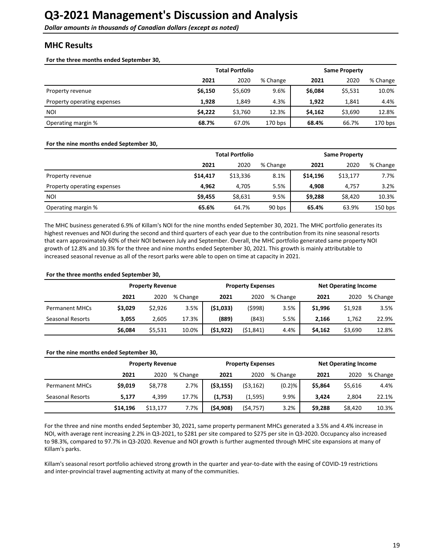# <span id="page-18-0"></span>**MHC Results**

For the three months ended September 30,

|                             | <b>Total Portfolio</b> | <b>Same Property</b> |           |         |         |           |
|-----------------------------|------------------------|----------------------|-----------|---------|---------|-----------|
|                             | 2021                   | 2020                 | % Change  | 2021    | 2020    | % Change  |
| Property revenue            | \$6,150                | \$5,609              | 9.6%      | \$6,084 | \$5,531 | 10.0%     |
| Property operating expenses | 1,928                  | 1.849                | 4.3%      | 1,922   | 1.841   | 4.4%      |
| <b>NOI</b>                  | \$4.222                | \$3,760              | 12.3%     | \$4,162 | \$3,690 | 12.8%     |
| Operating margin %          | 68.7%                  | 67.0%                | $170$ bps | 68.4%   | 66.7%   | $170$ bps |

#### For the nine months ended September 30,

|                             |          | <b>Total Portfolio</b> |          | <b>Same Property</b> |          |           |  |
|-----------------------------|----------|------------------------|----------|----------------------|----------|-----------|--|
|                             | 2021     | 2020                   | % Change | 2021                 | 2020     | % Change  |  |
| Property revenue            | \$14,417 | \$13,336               | 8.1%     | \$14,196             | \$13,177 | 7.7%      |  |
| Property operating expenses | 4.962    | 4.705                  | 5.5%     | 4,908                | 4.757    | 3.2%      |  |
| NOI                         | \$9,455  | \$8,631                | 9.5%     | \$9,288              | \$8,420  | 10.3%     |  |
| Operating margin %          | 65.6%    | 64.7%                  | 90 bps   | 65.4%                | 63.9%    | $150$ bps |  |

The MHC business generated 6.9% of Killam's NOI for the nine months ended September 30, 2021. The MHC portfolio generates its highest revenues and NOI during the second and third quarters of each year due to the contribution from its nine seasonal resorts that earn approximately 60% of their NOI between July and September. Overall, the MHC portfolio generated same property NOI growth of 12.8% and 10.3% for the three and nine months ended September 30, 2021. This growth is mainly attributable to increased seasonal revenue as all of the resort parks were able to open on time at capacity in 2021.

#### For the three months ended September 30,

|                       | <b>Property Revenue</b> |         |          | <b>Property Expenses</b> |           | <b>Net Operating Income</b> |         |         |          |
|-----------------------|-------------------------|---------|----------|--------------------------|-----------|-----------------------------|---------|---------|----------|
|                       | 2021                    | 2020    | % Change | 2021                     | 2020      | % Change                    | 2021    | 2020    | % Change |
| <b>Permanent MHCs</b> | \$3,029                 | \$2,926 | 3.5%     | ( \$1,033)               | (\$998)   | 3.5%                        | \$1,996 | \$1,928 | 3.5%     |
| Seasonal Resorts      | 3.055                   | 2.605   | 17.3%    | (889)                    | (843)     | 5.5%                        | 2.166   | 1,762   | 22.9%    |
|                       | \$6,084                 | \$5,531 | 10.0%    | (51, 922)                | (51, 841) | 4.4%                        | \$4,162 | \$3,690 | 12.8%    |

#### For the nine months ended September 30,

|                       | <b>Property Revenue</b> |          |          | <b>Property Expenses</b> |           |          | <b>Net Operating Income</b> |         |          |
|-----------------------|-------------------------|----------|----------|--------------------------|-----------|----------|-----------------------------|---------|----------|
|                       | 2021                    | 2020     | % Change | 2021                     | 2020      | % Change | 2021                        | 2020    | % Change |
| <b>Permanent MHCs</b> | \$9,019                 | \$8,778  | 2.7%     | ( \$3,155)               | (53, 162) | (0.2)%   | \$5.864                     | \$5,616 | 4.4%     |
| Seasonal Resorts      | 5.177                   | 4.399    | 17.7%    | (1,753)                  | (1,595)   | 9.9%     | 3.424                       | 2.804   | 22.1%    |
|                       | \$14,196                | \$13,177 | 7.7%     | (54,908)                 | (\$4,757) | 3.2%     | \$9,288                     | \$8,420 | 10.3%    |

For the three and nine months ended September 30, 2021, same property permanent MHCs generated a 3.5% and 4.4% increase in NOI, with average rent increasing 2.2% in Q3-2021, to \$281 per site compared to \$275 per site in Q3-2020. Occupancy also increased to 98.3%, compared to 97.7% in Q3-2020. Revenue and NOI growth is further augmented through MHC site expansions at many of Killam's parks.

Killam's seasonal resort portfolio achieved strong growth in the quarter and year-to-date with the easing of COVID-19 restrictions and inter-provincial travel augmenting activity at many of the communities.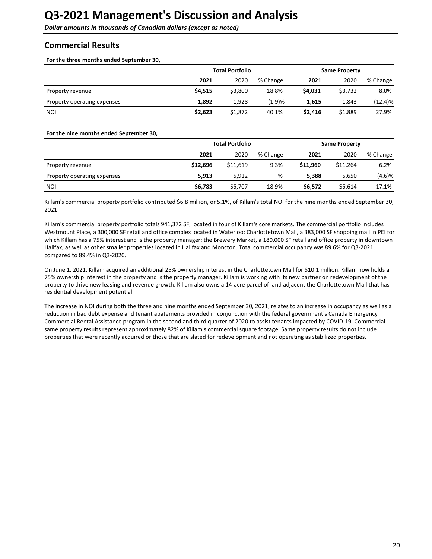<span id="page-19-0"></span>**Dollar amounts in thousands of Canadian dollars (except as noted)** 

# **Commercial Results**

For the three months ended September 30,

|                             | <b>Total Portfolio</b> |         |          | <b>Same Property</b> |         |          |
|-----------------------------|------------------------|---------|----------|----------------------|---------|----------|
|                             | 2021                   | 2020    | % Change | 2021                 | 2020    | % Change |
| Property revenue            | \$4,515                | \$3,800 | 18.8%    | \$4,031              | \$3,732 | 8.0%     |
| Property operating expenses | 1.892                  | 1,928   | (1.9)%   | 1.615                | 1,843   | (12.4)%  |
| <b>NOI</b>                  | \$2,623                | \$1,872 | 40.1%    | \$2,416              | \$1,889 | 27.9%    |

#### For the nine months ended September 30,

|                             |          | <b>Total Portfolio</b> | <b>Same Property</b> |          |          |          |
|-----------------------------|----------|------------------------|----------------------|----------|----------|----------|
|                             | 2021     | 2020                   | % Change             | 2021     | 2020     | % Change |
| Property revenue            | \$12,696 | \$11,619               | 9.3%                 | \$11.960 | \$11,264 | 6.2%     |
| Property operating expenses | 5.913    | 5,912                  | $-\%$                | 5.388    | 5,650    | (4.6)%   |
| <b>NOI</b>                  | \$6,783  | \$5,707                | 18.9%                | \$6,572  | \$5,614  | 17.1%    |

Killam's commercial property portfolio contributed \$6.8 million, or 5.1%, of Killam's total NOI for the nine months ended September 30, 2021. 

Killam's commercial property portfolio totals 941,372 SF, located in four of Killam's core markets. The commercial portfolio includes Westmount Place, a 300,000 SF retail and office complex located in Waterloo; Charlottetown Mall, a 383,000 SF shopping mall in PEI for which Killam has a 75% interest and is the property manager; the Brewery Market, a 180,000 SF retail and office property in downtown Halifax, as well as other smaller properties located in Halifax and Moncton. Total commercial occupancy was 89.6% for Q3-2021, compared to 89.4% in Q3-2020.

On June 1, 2021, Killam acquired an additional 25% ownership interest in the Charlottetown Mall for \$10.1 million. Killam now holds a 75% ownership interest in the property and is the property manager. Killam is working with its new partner on redevelopment of the property to drive new leasing and revenue growth. Killam also owns a 14-acre parcel of land adjacent the Charlottetown Mall that has residential development potential.

The increase in NOI during both the three and nine months ended September 30, 2021, relates to an increase in occupancy as well as a reduction in bad debt expense and tenant abatements provided in conjunction with the federal government's Canada Emergency Commercial Rental Assistance program in the second and third quarter of 2020 to assist tenants impacted by COVID-19. Commercial same property results represent approximately 82% of Killam's commercial square footage. Same property results do not include properties that were recently acquired or those that are slated for redevelopment and not operating as stabilized properties.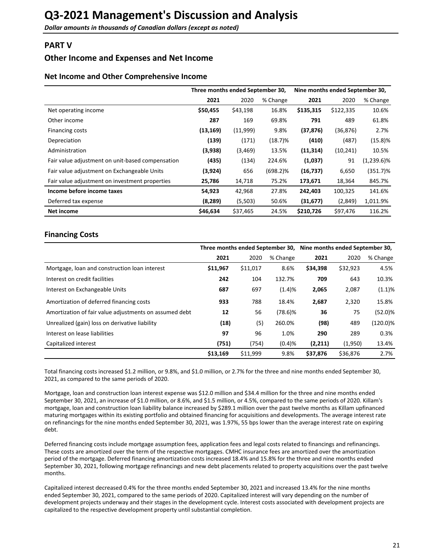# <span id="page-20-0"></span>**PART V**

# **Other Income and Expenses and Net Income**

# **Net Income and Other Comprehensive Income**

|                                                  | Three months ended September 30, |          |             | Nine months ended September 30, |           |               |
|--------------------------------------------------|----------------------------------|----------|-------------|---------------------------------|-----------|---------------|
|                                                  | 2021                             | 2020     | % Change    | 2021                            | 2020      | % Change      |
| Net operating income                             | \$50,455                         | \$43,198 | 16.8%       | \$135,315                       | \$122,335 | 10.6%         |
| Other income                                     | 287                              | 169      | 69.8%       | 791                             | 489       | 61.8%         |
| Financing costs                                  | (13, 169)                        | (11,999) | 9.8%        | (37, 876)                       | (36, 876) | 2.7%          |
| Depreciation                                     | (139)                            | (171)    | $(18.7)\%$  | (410)                           | (487)     | (15.8)%       |
| Administration                                   | (3,938)                          | (3, 469) | 13.5%       | (11, 314)                       | (10, 241) | 10.5%         |
| Fair value adjustment on unit-based compensation | (435)                            | (134)    | 224.6%      | (1,037)                         | 91        | $(1,239.6)\%$ |
| Fair value adjustment on Exchangeable Units      | (3,924)                          | 656      | $(698.2)\%$ | (16, 737)                       | 6,650     | $(351.7)\%$   |
| Fair value adjustment on investment properties   | 25,786                           | 14,718   | 75.2%       | 173,671                         | 18,364    | 845.7%        |
| Income before income taxes                       | 54,923                           | 42,968   | 27.8%       | 242,403                         | 100,325   | 141.6%        |
| Deferred tax expense                             | (8, 289)                         | (5,503)  | 50.6%       | (31, 677)                       | (2,849)   | 1,011.9%      |
| Net income                                       | \$46,634                         | \$37,465 | 24.5%       | \$210,726                       | \$97,476  | 116.2%        |

# **Financing Costs**

|                                                        |          |          |            | Three months ended September 30, Nine months ended September 30, |          |             |  |
|--------------------------------------------------------|----------|----------|------------|------------------------------------------------------------------|----------|-------------|--|
|                                                        | 2021     | 2020     | % Change   | 2021                                                             | 2020     | % Change    |  |
| Mortgage, loan and construction loan interest          | \$11,967 | \$11,017 | 8.6%       | \$34,398                                                         | \$32,923 | 4.5%        |  |
| Interest on credit facilities                          | 242      | 104      | 132.7%     | 709                                                              | 643      | 10.3%       |  |
| Interest on Exchangeable Units                         | 687      | 697      | (1.4)%     | 2,065                                                            | 2,087    | (1.1)%      |  |
| Amortization of deferred financing costs               | 933      | 788      | 18.4%      | 2,687                                                            | 2,320    | 15.8%       |  |
| Amortization of fair value adjustments on assumed debt | 12       | 56       | $(78.6)\%$ | 36                                                               | 75       | (52.0)%     |  |
| Unrealized (gain) loss on derivative liability         | (18)     | (5)      | 260.0%     | (98)                                                             | 489      | $(120.0)\%$ |  |
| Interest on lease liabilities                          | 97       | 96       | 1.0%       | 290                                                              | 289      | 0.3%        |  |
| Capitalized interest                                   | (751)    | (754)    | (0.4)%     | (2,211)                                                          | (1,950)  | 13.4%       |  |
|                                                        | \$13,169 | \$11,999 | 9.8%       | \$37,876                                                         | \$36,876 | 2.7%        |  |

Total financing costs increased \$1.2 million, or 9.8%, and \$1.0 million, or 2.7% for the three and nine months ended September 30, 2021, as compared to the same periods of 2020.

Mortgage, loan and construction loan interest expense was \$12.0 million and \$34.4 million for the three and nine months ended September 30, 2021, an increase of \$1.0 million, or 8.6%, and \$1.5 million, or 4.5%, compared to the same periods of 2020. Killam's mortgage, loan and construction loan liability balance increased by \$289.1 million over the past twelve months as Killam upfinanced maturing mortgages within its existing portfolio and obtained financing for acquisitions and developments. The average interest rate on refinancings for the nine months ended September 30, 2021, was 1.97%, 55 bps lower than the average interest rate on expiring debt.

Deferred financing costs include mortgage assumption fees, application fees and legal costs related to financings and refinancings. These costs are amortized over the term of the respective mortgages. CMHC insurance fees are amortized over the amortization period of the mortgage. Deferred financing amortization costs increased 18.4% and 15.8% for the three and nine months ended September 30, 2021, following mortgage refinancings and new debt placements related to property acquisitions over the past twelve months. 

Capitalized interest decreased 0.4% for the three months ended September 30, 2021 and increased 13.4% for the nine months ended September 30, 2021, compared to the same periods of 2020. Capitalized interest will vary depending on the number of development projects underway and their stages in the development cycle. Interest costs associated with development projects are capitalized to the respective development property until substantial completion.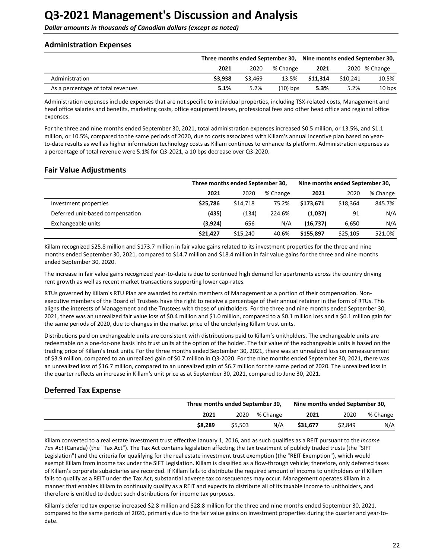<span id="page-21-0"></span>**Dollar amounts in thousands of Canadian dollars (except as noted)** 

## **Administration Expenses**

|                                   | Three months ended September 30, |         |            | Nine months ended September 30, |          |               |
|-----------------------------------|----------------------------------|---------|------------|---------------------------------|----------|---------------|
|                                   | 2021                             | 2020    | % Change   | 2021                            |          | 2020 % Change |
| Administration                    | \$3,938                          | \$3.469 | 13.5%      | \$11.314                        | \$10.241 | 10.5%         |
| As a percentage of total revenues | 5.1%                             | 5.2%    | $(10)$ bps | 5.3%                            | 5.2%     | 10 bps        |

Administration expenses include expenses that are not specific to individual properties, including TSX-related costs, Management and head office salaries and benefits, marketing costs, office equipment leases, professional fees and other head office and regional office expenses. 

For the three and nine months ended September 30, 2021, total administration expenses increased \$0.5 million, or 13.5%, and \$1.1 million, or 10.5%, compared to the same periods of 2020, due to costs associated with Killam's annual incentive plan based on yearto-date results as well as higher information technology costs as Killam continues to enhance its platform. Administration expenses as a percentage of total revenue were 5.1% for Q3-2021, a 10 bps decrease over Q3-2020.

# **Fair Value Adjustments**

|                                  | Three months ended September 30, |          |          | Nine months ended September 30, |          |          |  |
|----------------------------------|----------------------------------|----------|----------|---------------------------------|----------|----------|--|
|                                  | 2021                             | 2020     | % Change | 2021                            | 2020     | % Change |  |
| Investment properties            | \$25.786                         | \$14.718 | 75.2%    | \$173.671                       | \$18.364 | 845.7%   |  |
| Deferred unit-based compensation | (435)                            | (134)    | 224.6%   | (1,037)                         | 91       | N/A      |  |
| Exchangeable units               | (3,924)                          | 656      | N/A      | (16, 737)                       | 6,650    | N/A      |  |
|                                  | \$21.427                         | \$15,240 | 40.6%    | \$155,897                       | \$25,105 | 521.0%   |  |

Killam recognized \$25.8 million and \$173.7 million in fair value gains related to its investment properties for the three and nine months ended September 30, 2021, compared to \$14.7 million and \$18.4 million in fair value gains for the three and nine months ended September 30, 2020.

The increase in fair value gains recognized year-to-date is due to continued high demand for apartments across the country driving rent growth as well as recent market transactions supporting lower cap-rates.

RTUs governed by Killam's RTU Plan are awarded to certain members of Management as a portion of their compensation. Nonexecutive members of the Board of Trustees have the right to receive a percentage of their annual retainer in the form of RTUs. This aligns the interests of Management and the Trustees with those of unitholders. For the three and nine months ended September 30, 2021, there was an unrealized fair value loss of \$0.4 million and \$1.0 million, compared to a \$0.1 million loss and a \$0.1 million gain for the same periods of 2020, due to changes in the market price of the underlying Killam trust units.

Distributions paid on exchangeable units are consistent with distributions paid to Killam's unitholders. The exchangeable units are redeemable on a one-for-one basis into trust units at the option of the holder. The fair value of the exchangeable units is based on the trading price of Killam's trust units. For the three months ended September 30, 2021, there was an unrealized loss on remeasurement of \$3.9 million, compared to an unrealized gain of \$0.7 million in Q3-2020. For the nine months ended September 30, 2021, there was an unrealized loss of \$16.7 million, compared to an unrealized gain of \$6.7 million for the same period of 2020. The unrealized loss in the quarter reflects an increase in Killam's unit price as at September 30, 2021, compared to June 30, 2021.

# **Deferred Tax Expense**

| Three months ended September 30, |         |          | Nine months ended September 30, |         |          |
|----------------------------------|---------|----------|---------------------------------|---------|----------|
| 2021                             | 2020    | % Change | 2021                            | 2020    | % Change |
| \$8.289                          | \$5,503 | N/A      | \$31.677                        | \$2,849 | N/A      |

Killam converted to a real estate investment trust effective January 1, 2016, and as such qualifies as a REIT pursuant to the *Income* Tax Act (Canada) (the "Tax Act"). The Tax Act contains legislation affecting the tax treatment of publicly traded trusts (the "SIFT Legislation") and the criteria for qualifying for the real estate investment trust exemption (the "REIT Exemption"), which would exempt Killam from income tax under the SIFT Legislation. Killam is classified as a flow-through vehicle; therefore, only deferred taxes of Killam's corporate subsidiaries are recorded. If Killam fails to distribute the required amount of income to unitholders or if Killam fails to qualify as a REIT under the Tax Act, substantial adverse tax consequences may occur. Management operates Killam in a manner that enables Killam to continually qualify as a REIT and expects to distribute all of its taxable income to unitholders, and therefore is entitled to deduct such distributions for income tax purposes.

Killam's deferred tax expense increased \$2.8 million and \$28.8 million for the three and nine months ended September 30, 2021, compared to the same periods of 2020, primarily due to the fair value gains on investment properties during the quarter and year-todate.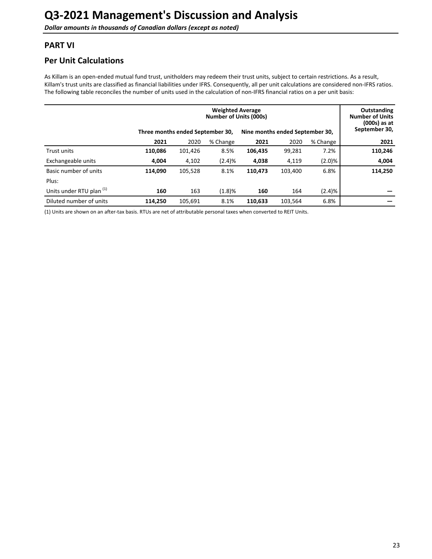# <span id="page-22-0"></span>**PART VI**

# **Per Unit Calculations**

As Killam is an open-ended mutual fund trust, unitholders may redeem their trust units, subject to certain restrictions. As a result, Killam's trust units are classified as financial liabilities under IFRS. Consequently, all per unit calculations are considered non-IFRS ratios. The following table reconciles the number of units used in the calculation of non-IFRS financial ratios on a per unit basis:

|                                     | Three months ended September 30, | Outstanding<br><b>Number of Units</b><br>$(000s)$ as at<br>September 30, |          |         |         |           |         |
|-------------------------------------|----------------------------------|--------------------------------------------------------------------------|----------|---------|---------|-----------|---------|
|                                     | 2021                             | 2020                                                                     | % Change | 2021    | 2020    | % Change  | 2021    |
| <b>Trust units</b>                  | 110,086                          | 101,426                                                                  | 8.5%     | 106,435 | 99,281  | 7.2%      | 110,246 |
| Exchangeable units                  | 4,004                            | 4,102                                                                    | (2.4)%   | 4,038   | 4,119   | $(2.0)\%$ | 4,004   |
| Basic number of units               | 114,090                          | 105,528                                                                  | 8.1%     | 110,473 | 103,400 | 6.8%      | 114,250 |
| Plus:                               |                                  |                                                                          |          |         |         |           |         |
| Units under RTU plan <sup>(1)</sup> | 160                              | 163                                                                      | (1.8)%   | 160     | 164     | (2.4)%    |         |
| Diluted number of units             | 114.250                          | 105.691                                                                  | 8.1%     | 110.633 | 103.564 | 6.8%      |         |

(1) Units are shown on an after-tax basis. RTUs are net of attributable personal taxes when converted to REIT Units.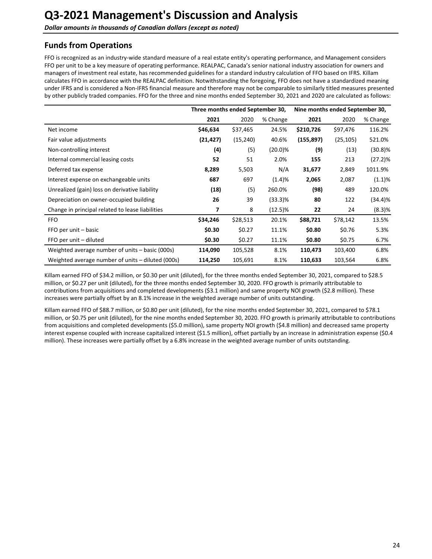# <span id="page-23-0"></span>**Funds from Operations**

FFO is recognized as an industry-wide standard measure of a real estate entity's operating performance, and Management considers FFO per unit to be a key measure of operating performance. REALPAC, Canada's senior national industry association for owners and managers of investment real estate, has recommended guidelines for a standard industry calculation of FFO based on IFRS. Killam calculates FFO in accordance with the REALPAC definition. Notwithstanding the foregoing, FFO does not have a standardized meaning under IFRS and is considered a Non-IFRS financial measure and therefore may not be comparable to similarly titled measures presented by other publicly traded companies. FFO for the three and nine months ended September 30, 2021 and 2020 are calculated as follows:

|                                                   | Three months ended September 30, |           |            | Nine months ended September 30, |           |            |
|---------------------------------------------------|----------------------------------|-----------|------------|---------------------------------|-----------|------------|
|                                                   | 2021                             | 2020      | % Change   | 2021                            | 2020      | % Change   |
| Net income                                        | \$46,634                         | \$37,465  | 24.5%      | \$210,726                       | \$97,476  | 116.2%     |
| Fair value adjustments                            | (21, 427)                        | (15, 240) | 40.6%      | (155, 897)                      | (25, 105) | 521.0%     |
| Non-controlling interest                          | (4)                              | (5)       | $(20.0)\%$ | (9)                             | (13)      | $(30.8)\%$ |
| Internal commercial leasing costs                 | 52                               | 51        | 2.0%       | 155                             | 213       | (27.2)%    |
| Deferred tax expense                              | 8,289                            | 5,503     | N/A        | 31,677                          | 2,849     | 1011.9%    |
| Interest expense on exchangeable units            | 687                              | 697       | (1.4)%     | 2,065                           | 2,087     | (1.1)%     |
| Unrealized (gain) loss on derivative liability    | (18)                             | (5)       | 260.0%     | (98)                            | 489       | 120.0%     |
| Depreciation on owner-occupied building           | 26                               | 39        | $(33.3)\%$ | 80                              | 122       | (34.4)%    |
| Change in principal related to lease liabilities  | 7                                | 8         | $(12.5)\%$ | 22                              | 24        | (8.3)%     |
| <b>FFO</b>                                        | \$34,246                         | \$28,513  | 20.1%      | \$88,721                        | \$78,142  | 13.5%      |
| FFO per unit – basic                              | \$0.30                           | \$0.27    | 11.1%      | \$0.80                          | \$0.76    | 5.3%       |
| FFO per unit - diluted                            | \$0.30                           | \$0.27    | 11.1%      | \$0.80                          | \$0.75    | 6.7%       |
| Weighted average number of units - basic (000s)   | 114,090                          | 105,528   | 8.1%       | 110,473                         | 103,400   | 6.8%       |
| Weighted average number of units – diluted (000s) | 114,250                          | 105,691   | 8.1%       | 110,633                         | 103,564   | 6.8%       |

Killam earned FFO of \$34.2 million, or \$0.30 per unit (diluted), for the three months ended September 30, 2021, compared to \$28.5 million, or \$0.27 per unit (diluted), for the three months ended September 30, 2020. FFO growth is primarily attributable to contributions from acquisitions and completed developments (\$3.1 million) and same property NOI growth (\$2.8 million). These increases were partially offset by an 8.1% increase in the weighted average number of units outstanding.

Killam earned FFO of \$88.7 million, or \$0.80 per unit (diluted), for the nine months ended September 30, 2021, compared to \$78.1 million, or \$0.75 per unit (diluted), for the nine months ended September 30, 2020. FFO growth is primarily attributable to contributions from acquisitions and completed developments (\$5.0 million), same property NOI growth (\$4.8 million) and decreased same property interest expense coupled with increase capitalized interest (\$1.5 million), offset partially by an increase in administration expense (\$0.4 million). These increases were partially offset by a 6.8% increase in the weighted average number of units outstanding.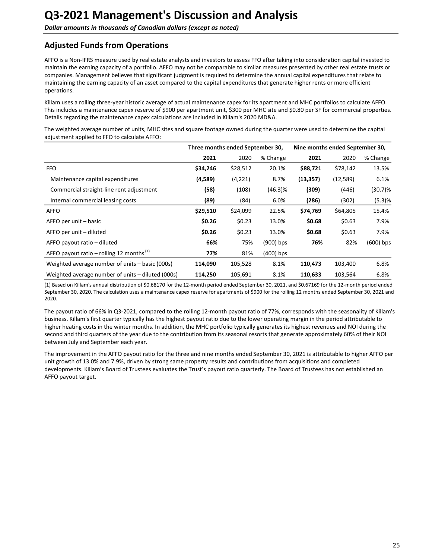# <span id="page-24-0"></span>**Adjusted Funds from Operations**

AFFO is a Non-IFRS measure used by real estate analysts and investors to assess FFO after taking into consideration capital invested to maintain the earning capacity of a portfolio. AFFO may not be comparable to similar measures presented by other real estate trusts or companies. Management believes that significant judgment is required to determine the annual capital expenditures that relate to maintaining the earning capacity of an asset compared to the capital expenditures that generate higher rents or more efficient operations. 

Killam uses a rolling three-year historic average of actual maintenance capex for its apartment and MHC portfolios to calculate AFFO. This includes a maintenance capex reserve of \$900 per apartment unit, \$300 per MHC site and \$0.80 per SF for commercial properties. Details regarding the maintenance capex calculations are included in Killam's 2020 MD&A.

The weighted average number of units, MHC sites and square footage owned during the quarter were used to determine the capital adjustment applied to FFO to calculate AFFO:

|                                                      | Three months ended September 30, |          |             | Nine months ended September 30, |           |             |
|------------------------------------------------------|----------------------------------|----------|-------------|---------------------------------|-----------|-------------|
|                                                      | 2021                             | 2020     | % Change    | 2021                            | 2020      | % Change    |
| <b>FFO</b>                                           | \$34,246                         | \$28,512 | 20.1%       | \$88,721                        | \$78,142  | 13.5%       |
| Maintenance capital expenditures                     | (4,589)                          | (4,221)  | 8.7%        | (13, 357)                       | (12, 589) | 6.1%        |
| Commercial straight-line rent adjustment             | (58)                             | (108)    | (46.3)%     | (309)                           | (446)     | $(30.7)\%$  |
| Internal commercial leasing costs                    | (89)                             | (84)     | 6.0%        | (286)                           | (302)     | (5.3)%      |
| <b>AFFO</b>                                          | \$29,510                         | \$24,099 | 22.5%       | \$74,769                        | \$64,805  | 15.4%       |
| AFFO per unit – basic                                | \$0.26                           | \$0.23   | 13.0%       | \$0.68                          | \$0.63    | 7.9%        |
| AFFO per unit – diluted                              | \$0.26                           | \$0.23   | 13.0%       | \$0.68                          | \$0.63    | 7.9%        |
| AFFO payout ratio – diluted                          | 66%                              | 75%      | $(900)$ bps | 76%                             | 82%       | $(600)$ bps |
| AFFO payout ratio – rolling 12 months <sup>(1)</sup> | 77%                              | 81%      | $(400)$ bps |                                 |           |             |
| Weighted average number of units – basic (000s)      | 114,090                          | 105,528  | 8.1%        | 110,473                         | 103,400   | 6.8%        |
| Weighted average number of units - diluted (000s)    | 114,250                          | 105,691  | 8.1%        | 110,633                         | 103,564   | 6.8%        |

(1) Based on Killam's annual distribution of \$0.68170 for the 12-month period ended September 30, 2021, and \$0.67169 for the 12-month period ended September 30, 2020. The calculation uses a maintenance capex reserve for apartments of \$900 for the rolling 12 months ended September 30, 2021 and 2020.

The payout ratio of 66% in Q3-2021, compared to the rolling 12-month payout ratio of 77%, corresponds with the seasonality of Killam's business. Killam's first quarter typically has the highest payout ratio due to the lower operating margin in the period attributable to higher heating costs in the winter months. In addition, the MHC portfolio typically generates its highest revenues and NOI during the second and third quarters of the year due to the contribution from its seasonal resorts that generate approximately 60% of their NOI between July and September each year.

The improvement in the AFFO payout ratio for the three and nine months ended September 30, 2021 is attributable to higher AFFO per unit growth of 13.0% and 7.9%, driven by strong same property results and contributions from acquisitions and completed developments. Killam's Board of Trustees evaluates the Trust's payout ratio quarterly. The Board of Trustees has not established an AFFO payout target.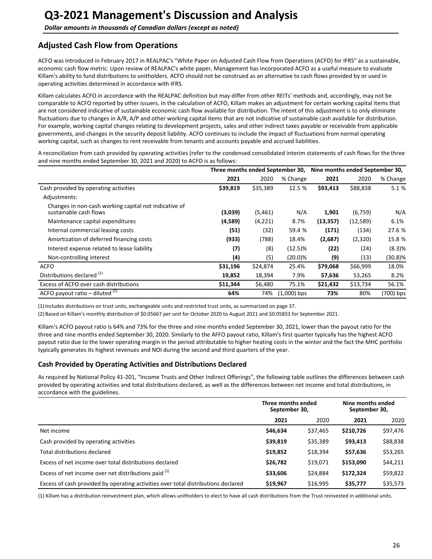# <span id="page-25-0"></span>**Adjusted Cash Flow from Operations**

ACFO was introduced in February 2017 in REALPAC's "White Paper on Adjusted Cash Flow from Operations (ACFO) for IFRS" as a sustainable, economic cash flow metric. Upon review of REALPAC's white paper, Management has incorporated ACFO as a useful measure to evaluate Killam's ability to fund distributions to unitholders. ACFO should not be construed as an alternative to cash flows provided by or used in operating activities determined in accordance with IFRS.

Killam calculates ACFO in accordance with the REALPAC definition but may differ from other REITs' methods and, accordingly, may not be comparable to ACFO reported by other issuers. In the calculation of ACFO, Killam makes an adjustment for certain working capital items that are not considered indicative of sustainable economic cash flow available for distribution. The intent of this adjustment is to only eliminate fluctuations due to changes in A/R, A/P and other working capital items that are not indicative of sustainable cash available for distribution. For example, working capital changes relating to development projects, sales and other indirect taxes payable or receivable from applicable governments, and changes in the security deposit liability. ACFO continues to include the impact of fluctuations from normal operating working capital, such as changes to rent receivable from tenants and accounts payable and accrued liabilities.

A reconciliation from cash provided by operating activities (refer to the condensed consolidated interim statements of cash flows for the three and nine months ended September 30, 2021 and 2020) to ACFO is as follows:

|                                                                                 | Three months ended September 30, |          |               | Nine months ended September 30, |          |           |  |
|---------------------------------------------------------------------------------|----------------------------------|----------|---------------|---------------------------------|----------|-----------|--|
|                                                                                 | 2021                             | 2020     | % Change      | 2021                            | 2020     | % Change  |  |
| Cash provided by operating activities                                           | \$39,819                         | \$35,389 | 12.5 %        | \$93,413                        | \$88,838 | 5.1 %     |  |
| Adjustments:                                                                    |                                  |          |               |                                 |          |           |  |
| Changes in non-cash working capital not indicative of<br>sustainable cash flows | (3,039)                          | (5,461)  | N/A           | 1,901                           | (6,759)  | N/A       |  |
| Maintenance capital expenditures                                                | (4,589)                          | (4,221)  | 8.7%          | (13, 357)                       | (12,589) | 6.1%      |  |
| Internal commercial leasing costs                                               | (51)                             | (32)     | 59.4 %        | (171)                           | (134)    | 27.6 %    |  |
| Amortization of deferred financing costs                                        | (933)                            | (788)    | 18.4%         | (2,687)                         | (2,320)  | 15.8 %    |  |
| Interest expense related to lease liability                                     | (7)                              | (8)      | $(12.5)\%$    | (22)                            | (24)     | $(8.3)$ % |  |
| Non-controlling interest                                                        | (4)                              | (5)      | $(20.0)\%$    | (9)                             | (13)     | (30.8)%   |  |
| <b>ACFO</b>                                                                     | \$31,196                         | \$24,874 | 25.4%         | \$79,068                        | \$66,999 | 18.0%     |  |
| Distributions declared <sup>(1)</sup>                                           | 19,852                           | 18,394   | 7.9%          | 57,636                          | 53,265   | 8.2%      |  |
| Excess of ACFO over cash distributions                                          | \$11,344                         | \$6,480  | 75.1%         | \$21,432                        | \$13,734 | 56.1%     |  |
| ACFO payout ratio – diluted $(2)$                                               | 64%                              | 74%      | $(1,000)$ bps | 73%                             | 80%      | (700) bps |  |

(1) Includes distributions on trust units, exchangeable units and restricted trust units, as summarized on page 37.

(2) Based on Killam's monthly distribution of \$0.05667 per unit for October 2020 to August 2021 and \$0.05833 for September 2021.

Killam's ACFO payout ratio is 64% and 73% for the three and nine months ended September 30, 2021, lower than the payout ratio for the three and nine months ended September 30, 2020. Similarly to the AFFO payout ratio, Killam's first quarter typically has the highest ACFO payout ratio due to the lower operating margin in the period attributable to higher heating costs in the winter and the fact the MHC portfolio typically generates its highest revenues and NOI during the second and third quarters of the year.

### **Cash Provided by Operating Activities and Distributions Declared**

As required by National Policy 41-201, "Income Trusts and Other Indirect Offerings", the following table outlines the differences between cash provided by operating activities and total distributions declared, as well as the differences between net income and total distributions, in accordance with the guidelines.

|                                                                                   | Three months ended<br>September 30, |          | Nine months ended<br>September 30, |          |  |
|-----------------------------------------------------------------------------------|-------------------------------------|----------|------------------------------------|----------|--|
|                                                                                   | 2021                                | 2020     | 2021                               | 2020     |  |
| Net income                                                                        | \$46,634                            | \$37,465 | \$210,726                          | \$97,476 |  |
| Cash provided by operating activities                                             | \$39,819                            | \$35,389 | \$93,413                           | \$88,838 |  |
| Total distributions declared                                                      | \$19,852                            | \$18,394 | \$57,636                           | \$53,265 |  |
| Excess of net income over total distributions declared                            | \$26,782                            | \$19,071 | \$153,090                          | \$44,211 |  |
| Excess of net income over net distributions paid (1)                              | \$33,606                            | \$24,884 | \$172,324                          | \$59,822 |  |
| Excess of cash provided by operating activities over total distributions declared | \$19,967                            | \$16,995 | \$35,777                           | \$35,573 |  |

(1) Killam has a distribution reinvestment plan, which allows unitholders to elect to have all cash distributions from the Trust reinvested in additional units.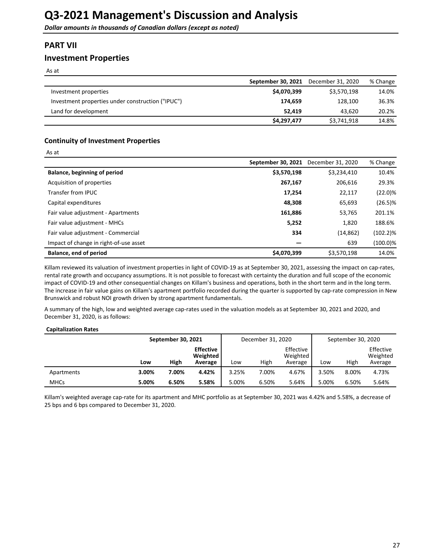# <span id="page-26-0"></span>**PART VII**

# **Investment Properties**

As at

 $Ac$  at

|                                                   | September 30, 2021 | December 31, 2020 | % Change |
|---------------------------------------------------|--------------------|-------------------|----------|
| Investment properties                             | \$4,070,399        | \$3,570,198       | 14.0%    |
| Investment properties under construction ("IPUC") | 174.659            | 128.100           | 36.3%    |
| Land for development                              | 52.419             | 43.620            | 20.2%    |
|                                                   | \$4,297,477        | \$3,741,918       | 14.8%    |

## **Continuity of Investment Properties**

| , wu                                   |                    |                   |             |
|----------------------------------------|--------------------|-------------------|-------------|
|                                        | September 30, 2021 | December 31, 2020 | % Change    |
| Balance, beginning of period           | \$3,570,198        | \$3,234,410       | 10.4%       |
| Acquisition of properties              | 267,167            | 206,616           | 29.3%       |
| Transfer from IPUC                     | 17,254             | 22,117            | $(22.0)\%$  |
| Capital expenditures                   | 48,308             | 65,693            | $(26.5)\%$  |
| Fair value adjustment - Apartments     | 161,886            | 53,765            | 201.1%      |
| Fair value adjustment - MHCs           | 5,252              | 1,820             | 188.6%      |
| Fair value adjustment - Commercial     | 334                | (14, 862)         | $(102.2)\%$ |
| Impact of change in right-of-use asset |                    | 639               | $(100.0)\%$ |
| Balance, end of period                 | \$4,070,399        | \$3,570,198       | 14.0%       |

Killam reviewed its valuation of investment properties in light of COVID-19 as at September 30, 2021, assessing the impact on cap-rates, rental rate growth and occupancy assumptions. It is not possible to forecast with certainty the duration and full scope of the economic impact of COVID-19 and other consequential changes on Killam's business and operations, both in the short term and in the long term. The increase in fair value gains on Killam's apartment portfolio recorded during the quarter is supported by cap-rate compression in New Brunswick and robust NOI growth driven by strong apartment fundamentals.

A summary of the high, low and weighted average cap-rates used in the valuation models as at September 30, 2021 and 2020, and December 31, 2020, is as follows:

#### **Capitalization Rates**

|             | September 30, 2021 |       | December 31, 2020                       |       |       | September 30, 2020               |       |       |                                  |
|-------------|--------------------|-------|-----------------------------------------|-------|-------|----------------------------------|-------|-------|----------------------------------|
|             | Low                | High  | <b>Effective</b><br>Weighted<br>Average | Low   | High  | Effective<br>Weighted<br>Average | Low   | High  | Effective<br>Weighted<br>Average |
| Apartments  | 3.00%              | 7.00% | 4.42%                                   | 3.25% | 7.00% | 4.67%                            | 3.50% | 8.00% | 4.73%                            |
| <b>MHCs</b> | 5.00%              | 6.50% | 5.58%                                   | 5.00% | 6.50% | 5.64%                            | 5.00% | 6.50% | 5.64%                            |

Killam's weighted average cap-rate for its apartment and MHC portfolio as at September 30, 2021 was 4.42% and 5.58%, a decrease of 25 bps and 6 bps compared to December 31, 2020.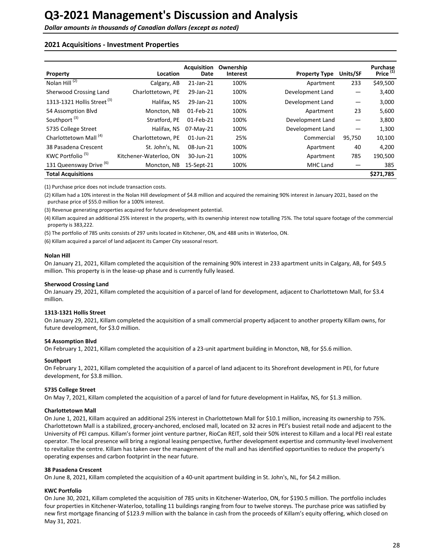### **2021 Acquisitions - Investment Properties**

| Property                               | Location               | <b>Acquisition</b><br>Date | Ownership<br><b>Interest</b> | <b>Property Type</b> | Units/SF          | Purchase<br>Price <sup>(1)</sup> |
|----------------------------------------|------------------------|----------------------------|------------------------------|----------------------|-------------------|----------------------------------|
| Nolan $Hill^{(2)}$                     | Calgary, AB            | 21-Jan-21                  | 100%                         | Apartment            | 233               | \$49,500                         |
| Sherwood Crossing Land                 | Charlottetown, PE      | 29-Jan-21                  | 100%                         | Development Land     |                   | 3,400                            |
| 1313-1321 Hollis Street <sup>(3)</sup> | Halifax, NS            | 29-Jan-21                  | 100%                         | Development Land     | —                 | 3,000                            |
| 54 Assomption Blvd                     | Moncton, NB            | 01-Feb-21                  | 100%                         | Apartment            | 23                | 5,600                            |
| Southport <sup>(3)</sup>               | Stratford, PE          | 01-Feb-21                  | 100%                         | Development Land     | $\qquad \qquad -$ | 3,800                            |
| 5735 College Street                    | Halifax, NS            | 07-May-21                  | 100%                         | Development Land     |                   | 1,300                            |
| Charlottetown Mall <sup>(4)</sup>      | Charlottetown, PE      | $01$ -Jun-21               | 25%                          | Commercial           | 95,750            | 10,100                           |
| 38 Pasadena Crescent                   | St. John's, NL         | 08-Jun-21                  | 100%                         | Apartment            | 40                | 4,200                            |
| KWC Portfolio <sup>(5)</sup>           | Kitchener-Waterloo, ON | 30-Jun-21                  | 100%                         | Apartment            | 785               | 190,500                          |
| 131 Queensway Drive (6)                | Moncton, NB            | 15-Sept-21                 | 100%                         | <b>MHC Land</b>      |                   | 385                              |
| <b>Total Acquisitions</b>              |                        |                            |                              |                      |                   | \$271,785                        |

(1) Purchase price does not include transaction costs.

(2) Killam had a 10% interest in the Nolan Hill development of \$4.8 million and acquired the remaining 90% interest in January 2021, based on the purchase price of \$55.0 million for a 100% interest.

(3) Revenue generating properties acquired for future development potential.

(4) Killam acquired an additional 25% interest in the property, with its ownership interest now totalling 75%. The total square footage of the commercial property is 383,222.

(5) The portfolio of 785 units consists of 297 units located in Kitchener, ON, and 488 units in Waterloo, ON.

(6) Killam acquired a parcel of land adjacent its Camper City seasonal resort.

#### **Nolan Hill**

On January 21, 2021, Killam completed the acquisition of the remaining 90% interest in 233 apartment units in Calgary, AB, for \$49.5 million. This property is in the lease-up phase and is currently fully leased.

#### **Sherwood Crossing Land**

On January 29, 2021, Killam completed the acquisition of a parcel of land for development, adjacent to Charlottetown Mall, for \$3.4 million. 

#### **1313-1321 Hollis Street**

On January 29, 2021, Killam completed the acquisition of a small commercial property adjacent to another property Killam owns, for future development, for \$3.0 million.

#### **54 Assomption Blvd**

On February 1, 2021, Killam completed the acquisition of a 23-unit apartment building in Moncton, NB, for \$5.6 million.

#### **Southport**

On February 1, 2021, Killam completed the acquisition of a parcel of land adjacent to its Shorefront development in PEI, for future development, for \$3.8 million.

#### **5735 College Street**

On May 7, 2021, Killam completed the acquisition of a parcel of land for future development in Halifax, NS, for \$1.3 million.

#### **Charlottetown Mall**

On June 1, 2021, Killam acquired an additional 25% interest in Charlottetown Mall for \$10.1 million, increasing its ownership to 75%. Charlottetown Mall is a stabilized, grocery-anchored, enclosed mall, located on 32 acres in PEI's busiest retail node and adjacent to the University of PEI campus. Killam's former joint venture partner, RioCan REIT, sold their 50% interest to Killam and a local PEI real estate operator. The local presence will bring a regional leasing perspective, further development expertise and community-level involvement to revitalize the centre. Killam has taken over the management of the mall and has identified opportunities to reduce the property's operating expenses and carbon footprint in the near future.

#### **38 Pasadena Crescent**

On June 8, 2021, Killam completed the acquisition of a 40-unit apartment building in St. John's, NL, for \$4.2 million.

#### **KWC** Portfolio

On June 30, 2021, Killam completed the acquisition of 785 units in Kitchener-Waterloo, ON, for \$190.5 million. The portfolio includes four properties in Kitchener-Waterloo, totalling 11 buildings ranging from four to twelve storeys. The purchase price was satisfied by new first mortgage financing of \$123.9 million with the balance in cash from the proceeds of Killam's equity offering, which closed on May 31, 2021.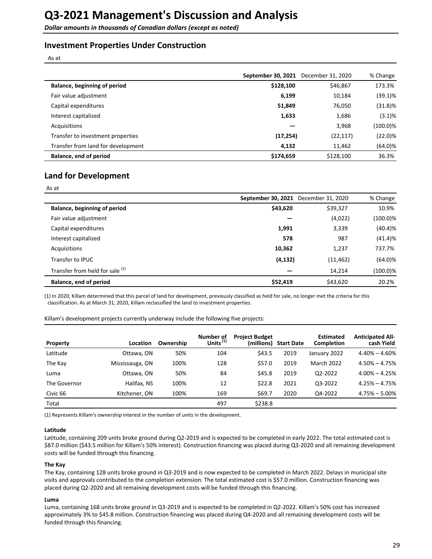# **Investment Properties Under Construction**

As at

|                                    | September 30, 2021 | December 31, 2020 | % Change    |
|------------------------------------|--------------------|-------------------|-------------|
| Balance, beginning of period       | \$128,100          | \$46,867          | 173.3%      |
| Fair value adjustment              | 6,199              | 10,184            | $(39.1)\%$  |
| Capital expenditures               | 51,849             | 76,050            | $(31.8)\%$  |
| Interest capitalized               | 1,633              | 1,686             | (3.1)%      |
| Acquisitions                       |                    | 3,968             | $(100.0)\%$ |
| Transfer to investment properties  | (17, 254)          | (22, 117)         | $(22.0)\%$  |
| Transfer from land for development | 4,132              | 11,462            | $(64.0)\%$  |
| Balance, end of period             | \$174,659          | \$128,100         | 36.3%       |

# **Land for Development**

| $\sim$<br>× | <br>× |
|-------------|-------|
|-------------|-------|

|          |           | % Change                                         |
|----------|-----------|--------------------------------------------------|
| \$43,620 | \$39,327  | 10.9%                                            |
|          | (4,022)   | (100.0)%                                         |
| 1,991    | 3,339     | (40.4)%                                          |
| 578      | 987       | (41.4)%                                          |
| 10,362   | 1,237     | 737.7%                                           |
|          | (11, 462) | $(64.0)\%$                                       |
|          | 14,214    | (100.0)%                                         |
| \$52,419 | \$43,620  | 20.2%                                            |
|          |           | September 30, 2021 December 31, 2020<br>(4, 132) |

(1) In 2020, Killam determined that this parcel of land for development, previously classified as held for sale, no longer met the criteria for this classification. As at March 31, 2020, Killam reclassified the land to investment properties.

Killam's development projects currently underway include the following five projects:

| Property     | Location        | Ownership | Number of<br>Units <sup>(1)</sup> | <b>Project Budget</b><br>(millions) | <b>Start Date</b> | <b>Estimated</b><br><b>Completion</b> | <b>Anticipated All-</b><br>cash Yield |
|--------------|-----------------|-----------|-----------------------------------|-------------------------------------|-------------------|---------------------------------------|---------------------------------------|
| Latitude     | Ottawa, ON      | 50%       | 104                               | \$43.5                              | 2019              | January 2022                          | $4.40\% - 4.60\%$                     |
| The Kay      | Mississauga, ON | 100%      | 128                               | \$57.0                              | 2019              | <b>March 2022</b>                     | $4.50\% - 4.75\%$                     |
| Luma         | Ottawa. ON      | 50%       | 84                                | \$45.8                              | 2019              | Q2-2022                               | $4.00\% - 4.25\%$                     |
| The Governor | Halifax, NS     | 100%      | 12                                | \$22.8                              | 2021              | Q3-2022                               | $4.25\% - 4.75\%$                     |
| Civic 66     | Kitchener, ON   | 100%      | 169                               | \$69.7                              | 2020              | Q4-2022                               | $4.75\% - 5.00\%$                     |
| Total        |                 |           | 497                               | \$238.8                             |                   |                                       |                                       |

(1) Represents Killam's ownership interest in the number of units in the development.

#### **Latitude**

Latitude, containing 209 units broke ground during Q2-2019 and is expected to be completed in early 2022. The total estimated cost is \$87.0 million (\$43.5 million for Killam's 50% interest). Construction financing was placed during Q3-2020 and all remaining development costs will be funded through this financing.

#### **The Kay**

The Kay, containing 128 units broke ground in Q3-2019 and is now expected to be completed in March 2022. Delays in municipal site visits and approvals contributed to the completion extension. The total estimated cost is \$57.0 million. Construction financing was placed during Q2-2020 and all remaining development costs will be funded through this financing.

#### **Luma**

Luma, containing 168 units broke ground in Q3-2019 and is expected to be completed in Q2-2022. Killam's 50% cost has increased approximately 3% to \$45.8 million. Construction financing was placed during Q4-2020 and all remaining development costs will be funded through this financing.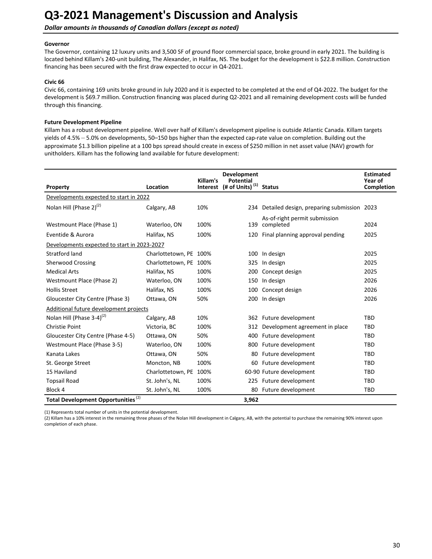**Dollar amounts in thousands of Canadian dollars (except as noted)** 

#### **Governor**

The Governor, containing 12 luxury units and 3,500 SF of ground floor commercial space, broke ground in early 2021. The building is located behind Killam's 240-unit building, The Alexander, in Halifax, NS. The budget for the development is \$22.8 million. Construction financing has been secured with the first draw expected to occur in Q4-2021.

### **Civic 66**

Civic 66, containing 169 units broke ground in July 2020 and it is expected to be completed at the end of Q4-2022. The budget for the development is \$69.7 million. Construction financing was placed during Q2-2021 and all remaining development costs will be funded through this financing.

### **Future Development Pipeline**

Killam has a robust development pipeline. Well over half of Killam's development pipeline is outside Atlantic Canada. Killam targets yields of 4.5% – 5.0% on developments, 50–150 bps higher than the expected cap-rate value on completion. Building out the approximate \$1.3 billion pipeline at a 100 bps spread should create in excess of \$250 million in net asset value (NAV) growth for unitholders. Killam has the following land available for future development:

| Property                                       | Location               | Killam's<br>Interest | Development<br><b>Potential</b><br>(# of Units) $(1)$ | <b>Status</b>                                  | <b>Estimated</b><br>Year of<br><b>Completion</b> |
|------------------------------------------------|------------------------|----------------------|-------------------------------------------------------|------------------------------------------------|--------------------------------------------------|
| Developments expected to start in 2022         |                        |                      |                                                       |                                                |                                                  |
| Nolan Hill (Phase $2)^{(2)}$                   | Calgary, AB            | 10%                  |                                                       | 234 Detailed design, preparing submission 2023 |                                                  |
|                                                |                        |                      |                                                       | As-of-right permit submission                  |                                                  |
| Westmount Place (Phase 1)                      | Waterloo, ON           | 100%                 | 139                                                   | completed                                      | 2024                                             |
| Eventide & Aurora                              | Halifax, NS            | 100%                 | 120                                                   | Final planning approval pending                | 2025                                             |
| Developments expected to start in 2023-2027    |                        |                      |                                                       |                                                |                                                  |
| Stratford land                                 | Charlottetown, PE 100% |                      | 100                                                   | In design                                      | 2025                                             |
| <b>Sherwood Crossing</b>                       | Charlottetown, PE 100% |                      | 325                                                   | In design                                      | 2025                                             |
| <b>Medical Arts</b>                            | Halifax, NS            | 100%                 | 200                                                   | Concept design                                 | 2025                                             |
| Westmount Place (Phase 2)                      | Waterloo, ON           | 100%                 | 150                                                   | In design                                      | 2026                                             |
| <b>Hollis Street</b>                           | Halifax, NS            | 100%                 | 100                                                   | Concept design                                 | 2026                                             |
| Gloucester City Centre (Phase 3)               | Ottawa, ON             | 50%                  | 200                                                   | In design                                      | 2026                                             |
| Additional future development projects         |                        |                      |                                                       |                                                |                                                  |
| Nolan Hill (Phase 3-4) <sup>(2)</sup>          | Calgary, AB            | 10%                  |                                                       | 362 Future development                         | <b>TBD</b>                                       |
| <b>Christie Point</b>                          | Victoria, BC           | 100%                 | 312                                                   | Development agreement in place                 | <b>TBD</b>                                       |
| Gloucester City Centre (Phase 4-5)             | Ottawa, ON             | 50%                  | 400                                                   | Future development                             | TBD                                              |
| Westmount Place (Phase 3-5)                    | Waterloo, ON           | 100%                 | 800                                                   | Future development                             | TBD                                              |
| Kanata Lakes                                   | Ottawa, ON             | 50%                  | 80                                                    | Future development                             | <b>TBD</b>                                       |
| St. George Street                              | Moncton, NB            | 100%                 | 60                                                    | Future development                             | <b>TBD</b>                                       |
| 15 Haviland                                    | Charlottetown, PE 100% |                      |                                                       | 60-90 Future development                       | <b>TBD</b>                                       |
| <b>Topsail Road</b>                            | St. John's, NL         | 100%                 | 225                                                   | Future development                             | <b>TBD</b>                                       |
| Block 4                                        | St. John's, NL         | 100%                 | 80                                                    | Future development                             | <b>TBD</b>                                       |
| Total Development Opportunities <sup>(2)</sup> |                        |                      | 3,962                                                 |                                                |                                                  |

(1) Represents total number of units in the potential development.

(2) Killam has a 10% interest in the remaining three phases of the Nolan Hill development in Calgary, AB, with the potential to purchase the remaining 90% interest upon completion of each phase.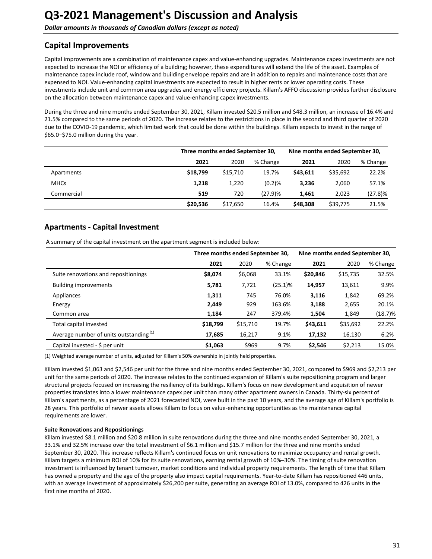# <span id="page-30-0"></span>**Capital Improvements**

Capital improvements are a combination of maintenance capex and value-enhancing upgrades. Maintenance capex investments are not expected to increase the NOI or efficiency of a building; however, these expenditures will extend the life of the asset. Examples of maintenance capex include roof, window and building envelope repairs and are in addition to repairs and maintenance costs that are expensed to NOI. Value-enhancing capital investments are expected to result in higher rents or lower operating costs. These investments include unit and common area upgrades and energy efficiency projects. Killam's AFFO discussion provides further disclosure on the allocation between maintenance capex and value-enhancing capex investments.

During the three and nine months ended September 30, 2021, Killam invested \$20.5 million and \$48.3 million, an increase of 16.4% and 21.5% compared to the same periods of 2020. The increase relates to the restrictions in place in the second and third quarter of 2020 due to the COVID-19 pandemic, which limited work that could be done within the buildings. Killam expects to invest in the range of \$65.0–\$75.0 million during the year.

|             |          | Three months ended September 30, |           |          | Nine months ended September 30, |            |  |
|-------------|----------|----------------------------------|-----------|----------|---------------------------------|------------|--|
|             | 2021     | 2020                             | % Change  | 2021     | 2020                            | % Change   |  |
| Apartments  | \$18.799 | \$15,710                         | 19.7%     | \$43.611 | \$35,692                        | 22.2%      |  |
| <b>MHCs</b> | 1,218    | 1,220                            | $(0.2)$ % | 3,236    | 2,060                           | 57.1%      |  |
| Commercial  | 519      | 720                              | (27.9)%   | 1,461    | 2,023                           | $(27.8)$ % |  |
|             | \$20,536 | \$17,650                         | 16.4%     | \$48,308 | \$39,775                        | 21.5%      |  |

# **Apartments - Capital Investment**

A summary of the capital investment on the apartment segment is included below:

|                                                    |          | Three months ended September 30, |            |          | Nine months ended September 30, |            |  |
|----------------------------------------------------|----------|----------------------------------|------------|----------|---------------------------------|------------|--|
|                                                    | 2021     | 2020                             | % Change   | 2021     | 2020                            | % Change   |  |
| Suite renovations and repositionings               | \$8,074  | \$6,068                          | 33.1%      | \$20,846 | \$15,735                        | 32.5%      |  |
| <b>Building improvements</b>                       | 5,781    | 7,721                            | $(25.1)\%$ | 14,957   | 13,611                          | 9.9%       |  |
| Appliances                                         | 1,311    | 745                              | 76.0%      | 3,116    | 1,842                           | 69.2%      |  |
| Energy                                             | 2,449    | 929                              | 163.6%     | 3,188    | 2,655                           | 20.1%      |  |
| Common area                                        | 1,184    | 247                              | 379.4%     | 1,504    | 1,849                           | $(18.7)\%$ |  |
| Total capital invested                             | \$18,799 | \$15,710                         | 19.7%      | \$43,611 | \$35,692                        | 22.2%      |  |
| Average number of units outstanding <sup>(1)</sup> | 17,685   | 16,217                           | 9.1%       | 17,132   | 16,130                          | 6.2%       |  |
| Capital invested - $\frac{1}{2}$ per unit          | \$1.063  | \$969                            | 9.7%       | \$2.546  | \$2,213                         | 15.0%      |  |

(1) Weighted average number of units, adjusted for Killam's 50% ownership in jointly held properties.

Killam invested \$1,063 and \$2,546 per unit for the three and nine months ended September 30, 2021, compared to \$969 and \$2,213 per unit for the same periods of 2020. The increase relates to the continued expansion of Killam's suite repositioning program and larger structural projects focused on increasing the resiliency of its buildings. Killam's focus on new development and acquisition of newer properties translates into a lower maintenance capex per unit than many other apartment owners in Canada. Thirty-six percent of Killam's apartments, as a percentage of 2021 forecasted NOI, were built in the past 10 years, and the average age of Killam's portfolio is 28 years. This portfolio of newer assets allows Killam to focus on value-enhancing opportunities as the maintenance capital requirements are lower.

### **Suite Renovations and Repositionings**

Killam invested \$8.1 million and \$20.8 million in suite renovations during the three and nine months ended September 30, 2021, a 33.1% and 32.5% increase over the total investment of \$6.1 million and \$15.7 million for the three and nine months ended September 30, 2020. This increase reflects Killam's continued focus on unit renovations to maximize occupancy and rental growth. Killam targets a minimum ROI of 10% for its suite renovations, earning rental growth of 10%–30%. The timing of suite renovation investment is influenced by tenant turnover, market conditions and individual property requirements. The length of time that Killam has owned a property and the age of the property also impact capital requirements. Year-to-date Killam has repositioned 446 units, with an average investment of approximately \$26,200 per suite, generating an average ROI of 13.0%, compared to 426 units in the first nine months of 2020.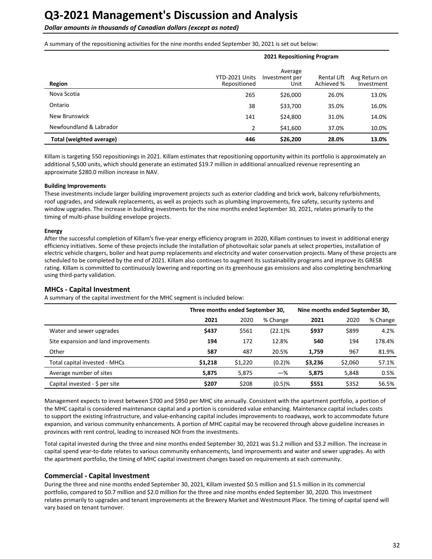**Dollar amounts in thousands of Canadian dollars (except as noted)** 

A summary of the repositioning activities for the nine months ended September 30, 2021 is set out below:

|                          | <b>LULING DUSING INCREASE</b>  |                                   |                           |                             |  |
|--------------------------|--------------------------------|-----------------------------------|---------------------------|-----------------------------|--|
| Region                   | YTD-2021 Units<br>Repositioned | Average<br>Investment per<br>Unit | Rental Lift<br>Achieved % | Avg Return on<br>Investment |  |
| Nova Scotia              | 265                            | \$26,000                          | 26.0%                     | 13.0%                       |  |
| Ontario                  | 38                             | \$33,700                          | 35.0%                     | 16.0%                       |  |
| New Brunswick            | 141                            | \$24,800                          | 31.0%                     | 14.0%                       |  |
| Newfoundland & Labrador  | $\mathfrak{p}$                 | \$41,600                          | 37.0%                     | 10.0%                       |  |
| Total (weighted average) | 446                            | \$26,200                          | 28.0%                     | 13.0%                       |  |

**2021 Repositioning Program**

Killam is targeting 550 repositionings in 2021. Killam estimates that repositioning opportunity within its portfolio is approximately an additional 5,500 units, which should generate an estimated \$19.7 million in additional annualized revenue representing an approximate \$280.0 million increase in NAV.

#### **Building Improvements**

These investments include larger building improvement projects such as exterior cladding and brick work, balcony refurbishments, roof upgrades, and sidewalk replacements, as well as projects such as plumbing improvements, fire safety, security systems and window upgrades. The increase in building investments for the nine months ended September 30, 2021, relates primarily to the timing of multi-phase building envelope projects.

#### **Energy**

After the successful completion of Killam's five-year energy efficiency program in 2020, Killam continues to invest in additional energy efficiency initiatives. Some of these projects include the installation of photovoltaic solar panels at select properties, installation of electric vehicle chargers, boiler and heat pump replacements and electricity and water conservation projects. Many of these projects are scheduled to be completed by the end of 2021. Killam also continues to augment its sustainability programs and improve its GRESB rating. Killam is committed to continuously lowering and reporting on its greenhouse gas emissions and also completing benchmarking using third-party validation.

#### **MHCs - Capital Investment**

A summary of the capital investment for the MHC segment is included below:

|                                      | Three months ended September 30, |         |            | Nine months ended September 30, |         |          |
|--------------------------------------|----------------------------------|---------|------------|---------------------------------|---------|----------|
|                                      | 2021                             | 2020    | % Change   | 2021                            | 2020    | % Change |
| Water and sewer upgrades             | \$437                            | \$561   | $(22.1)\%$ | \$937                           | \$899   | 4.2%     |
| Site expansion and land improvements | 194                              | 172     | 12.8%      | 540                             | 194     | 178.4%   |
| Other                                | 587                              | 487     | 20.5%      | 1.759                           | 967     | 81.9%    |
| Total capital invested - MHCs        | \$1,218                          | \$1,220 | (0.2)%     | \$3,236                         | \$2,060 | 57.1%    |
| Average number of sites              | 5,875                            | 5,875   | $-\%$      | 5,875                           | 5,848   | 0.5%     |
| Capital invested - \$ per site       | \$207                            | \$208   | $(0.5)$ %  | \$551                           | \$352   | 56.5%    |

Management expects to invest between \$700 and \$950 per MHC site annually. Consistent with the apartment portfolio, a portion of the MHC capital is considered maintenance capital and a portion is considered value enhancing. Maintenance capital includes costs to support the existing infrastructure, and value-enhancing capital includes improvements to roadways, work to accommodate future expansion, and various community enhancements. A portion of MHC capital may be recovered through above guideline increases in provinces with rent control, leading to increased NOI from the investments.

Total capital invested during the three and nine months ended September 30, 2021 was \$1.2 million and \$3.2 million. The increase in capital spend year-to-date relates to various community enhancements, land improvements and water and sewer upgrades. As with the apartment portfolio, the timing of MHC capital investment changes based on requirements at each community.

#### **Commercial - Capital Investment**

During the three and nine months ended September 30, 2021, Killam invested \$0.5 million and \$1.5 million in its commercial portfolio, compared to \$0.7 million and \$2.0 million for the three and nine months ended September 30, 2020. This investment relates primarily to upgrades and tenant improvements at the Brewery Market and Westmount Place. The timing of capital spend will vary based on tenant turnover.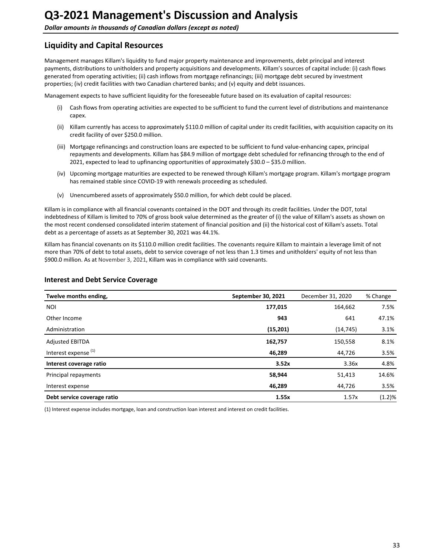# <span id="page-32-0"></span>**Liquidity and Capital Resources**

Management manages Killam's liquidity to fund major property maintenance and improvements, debt principal and interest payments, distributions to unitholders and property acquisitions and developments. Killam's sources of capital include: (i) cash flows generated from operating activities; (ii) cash inflows from mortgage refinancings; (iii) mortgage debt secured by investment properties; (iv) credit facilities with two Canadian chartered banks; and (v) equity and debt issuances.

Management expects to have sufficient liquidity for the foreseeable future based on its evaluation of capital resources:

- (i) Cash flows from operating activities are expected to be sufficient to fund the current level of distributions and maintenance capex.
- (ii) Killam currently has access to approximately \$110.0 million of capital under its credit facilities, with acquisition capacity on its credit facility of over \$250.0 million.
- (iii) Mortgage refinancings and construction loans are expected to be sufficient to fund value-enhancing capex, principal repayments and developments. Killam has \$84.9 million of mortgage debt scheduled for refinancing through to the end of 2021, expected to lead to upfinancing opportunities of approximately  $$30.0 - $35.0$  million.
- (iv) Upcoming mortgage maturities are expected to be renewed through Killam's mortgage program. Killam's mortgage program has remained stable since COVID-19 with renewals proceeding as scheduled.
- (v) Unencumbered assets of approximately \$50.0 million, for which debt could be placed.

Killam is in compliance with all financial covenants contained in the DOT and through its credit facilities. Under the DOT, total indebtedness of Killam is limited to 70% of gross book value determined as the greater of (i) the value of Killam's assets as shown on the most recent condensed consolidated interim statement of financial position and (ii) the historical cost of Killam's assets. Total debt as a percentage of assets as at September 30, 2021 was 44.1%.

Killam has financial covenants on its \$110.0 million credit facilities. The covenants require Killam to maintain a leverage limit of not more than 70% of debt to total assets, debt to service coverage of not less than 1.3 times and unitholders' equity of not less than \$900.0 million. As at November 3, 2021, Killam was in compliance with said covenants.

| Twelve months ending,           | September 30, 2021 | December 31, 2020 | % Change |
|---------------------------------|--------------------|-------------------|----------|
| <b>NOI</b>                      | 177,015            | 164,662           | 7.5%     |
| Other Income                    | 943                | 641               | 47.1%    |
| Administration                  | (15, 201)          | (14, 745)         | 3.1%     |
| <b>Adjusted EBITDA</b>          | 162,757            | 150,558           | 8.1%     |
| Interest expense <sup>(1)</sup> | 46,289             | 44,726            | 3.5%     |
| Interest coverage ratio         | 3.52x              | 3.36x             | 4.8%     |
| Principal repayments            | 58,944             | 51,413            | 14.6%    |
| Interest expense                | 46,289             | 44,726            | 3.5%     |
| Debt service coverage ratio     | 1.55x              | 1.57x             | (1.2)%   |

### **Interest and Debt Service Coverage**

(1) Interest expense includes mortgage, loan and construction loan interest and interest on credit facilities.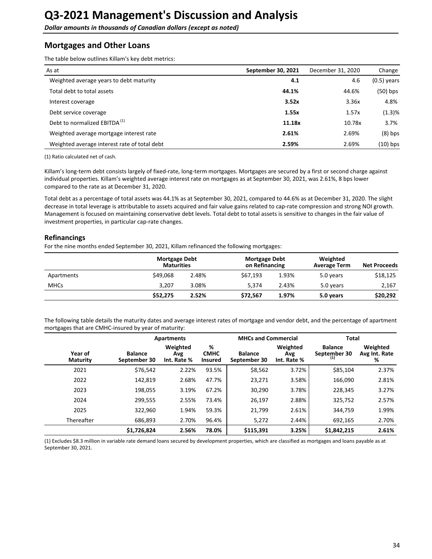<span id="page-33-0"></span>**Dollar amounts in thousands of Canadian dollars (except as noted)** 

# **Mortgages and Other Loans**

The table below outlines Killam's key debt metrics:

| As at                                        | September 30, 2021 | December 31, 2020 | Change        |
|----------------------------------------------|--------------------|-------------------|---------------|
| Weighted average years to debt maturity      | 4.1                | 4.6               | $(0.5)$ years |
| Total debt to total assets                   | 44.1%              | 44.6%             | $(50)$ bps    |
| Interest coverage                            | 3.52x              | 3.36x             | 4.8%          |
| Debt service coverage                        | 1.55x              | 1.57x             | (1.3)%        |
| Debt to normalized EBITDA <sup>(1)</sup>     | 11.18x             | 10.78x            | 3.7%          |
| Weighted average mortgage interest rate      | 2.61%              | 2.69%             | $(8)$ bps     |
| Weighted average interest rate of total debt | 2.59%              | 2.69%             | $(10)$ bps    |

(1) Ratio calculated net of cash.

Killam's long-term debt consists largely of fixed-rate, long-term mortgages. Mortgages are secured by a first or second charge against individual properties. Killam's weighted average interest rate on mortgages as at September 30, 2021, was 2.61%, 8 bps lower compared to the rate as at December 31, 2020.

Total debt as a percentage of total assets was 44.1% as at September 30, 2021, compared to 44.6% as at December 31, 2020. The slight decrease in total leverage is attributable to assets acquired and fair value gains related to cap-rate compression and strong NOI growth. Management is focused on maintaining conservative debt levels. Total debt to total assets is sensitive to changes in the fair value of investment properties, in particular cap-rate changes.

### **Refinancings**

For the nine months ended September 30, 2021, Killam refinanced the following mortgages:

|             | <b>Mortgage Debt</b><br><b>Maturities</b> |       | Mortgage Debt<br>on Refinancing |       | Weighted<br><b>Average Term</b> | <b>Net Proceeds</b> |
|-------------|-------------------------------------------|-------|---------------------------------|-------|---------------------------------|---------------------|
| Apartments  | \$49,068                                  | 2.48% | \$67.193                        | 1.93% | 5.0 years                       | \$18,125            |
| <b>MHCs</b> | 3.207                                     | 3.08% | 5.374                           | 2.43% | 5.0 years                       | 2,167               |
|             | \$52.275                                  | 2.52% | \$72.567                        | 1.97% | 5.0 years                       | \$20,292            |

The following table details the maturity dates and average interest rates of mortgage and vendor debt, and the percentage of apartment mortgages that are CMHC-insured by year of maturity:

|                            |                                | Apartments                     |                                    | <b>MHCs and Commercial</b>     |                                | Total                          |                                |
|----------------------------|--------------------------------|--------------------------------|------------------------------------|--------------------------------|--------------------------------|--------------------------------|--------------------------------|
| Year of<br><b>Maturity</b> | <b>Balance</b><br>September 30 | Weighted<br>Avg<br>Int. Rate % | %<br><b>CMHC</b><br><b>Insured</b> | <b>Balance</b><br>September 30 | Weighted<br>Avg<br>Int. Rate % | <b>Balance</b><br>September 30 | Weighted<br>Avg Int. Rate<br>% |
| 2021                       | \$76,542                       | 2.22%                          | 93.5%                              | \$8,562                        | 3.72%                          | \$85,104                       | 2.37%                          |
| 2022                       | 142.819                        | 2.68%                          | 47.7%                              | 23,271                         | 3.58%                          | 166,090                        | 2.81%                          |
| 2023                       | 198,055                        | 3.19%                          | 67.2%                              | 30,290                         | 3.78%                          | 228,345                        | 3.27%                          |
| 2024                       | 299,555                        | 2.55%                          | 73.4%                              | 26,197                         | 2.88%                          | 325,752                        | 2.57%                          |
| 2025                       | 322,960                        | 1.94%                          | 59.3%                              | 21,799                         | 2.61%                          | 344.759                        | 1.99%                          |
| Thereafter                 | 686,893                        | 2.70%                          | 96.4%                              | 5,272                          | 2.44%                          | 692,165                        | 2.70%                          |
|                            | \$1,726,824                    | 2.56%                          | 78.0%                              | \$115,391                      | 3.25%                          | \$1,842,215                    | 2.61%                          |

(1) Excludes \$8.3 million in variable rate demand loans secured by development properties, which are classified as mortgages and loans payable as at September 30, 2021.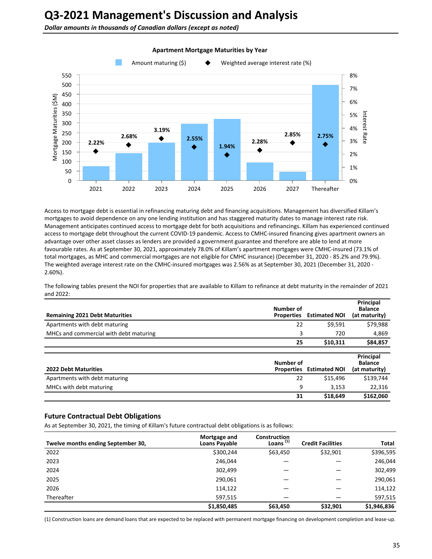**Dollar amounts in thousands of Canadian dollars (except as noted)** 



#### **Apartment Mortgage Maturities by Year**

Access to mortgage debt is essential in refinancing maturing debt and financing acquisitions. Management has diversified Killam's mortgages to avoid dependence on any one lending institution and has staggered maturity dates to manage interest rate risk. Management anticipates continued access to mortgage debt for both acquisitions and refinancings. Killam has experienced continued access to mortgage debt throughout the current COVID-19 pandemic. Access to CMHC-insured financing gives apartment owners an advantage over other asset classes as lenders are provided a government guarantee and therefore are able to lend at more favourable rates. As at September 30, 2021, approximately 78.0% of Killam's apartment mortgages were CMHC-insured (73.1% of total mortgages, as MHC and commercial mortgages are not eligible for CMHC insurance) (December 31, 2020 - 85.2% and 79.9%). The weighted average interest rate on the CMHC-insured mortgages was 2.56% as at September 30, 2021 (December 31, 2020 -2.60%).

The following tables present the NOI for properties that are available to Killam to refinance at debt maturity in the remainder of 2021 and  $2022$ :

| <b>Remaining 2021 Debt Maturities</b>  | Number of<br><b>Properties</b> | <b>Estimated NOI</b> | Principal<br><b>Balance</b><br>(at maturity) |
|----------------------------------------|--------------------------------|----------------------|----------------------------------------------|
| Apartments with debt maturing          | 22                             | \$9,591              | \$79,988                                     |
| MHCs and commercial with debt maturing | 3                              | 720                  | 4,869                                        |
|                                        | 25                             | \$10,311             | \$84,857                                     |
|                                        |                                |                      |                                              |
| <b>2022 Debt Maturities</b>            | Number of<br><b>Properties</b> | <b>Estimated NOI</b> | Principal<br><b>Balance</b><br>(at maturity) |
|                                        |                                |                      |                                              |
| Apartments with debt maturing          | 22                             | \$15,496             | \$139,744                                    |
| MHCs with debt maturing                | 9                              | 3,153                | 22,316                                       |

### **Future Contractual Debt Obligations**

As at September 30, 2021, the timing of Killam's future contractual debt obligations is as follows:

| Twelve months ending September 30, | Mortgage and<br><b>Loans Payable</b> | <b>Construction</b><br>Loans $(1)$ | <b>Credit Facilities</b> | Total       |
|------------------------------------|--------------------------------------|------------------------------------|--------------------------|-------------|
| 2022                               | \$300,244                            | \$63,450                           | \$32,901                 | \$396,595   |
| 2023                               | 246,044                              |                                    |                          | 246,044     |
| 2024                               | 302,499                              |                                    |                          | 302,499     |
| 2025                               | 290,061                              |                                    |                          | 290,061     |
| 2026                               | 114,122                              |                                    |                          | 114,122     |
| Thereafter                         | 597,515                              |                                    |                          | 597,515     |
|                                    | \$1,850,485                          | \$63,450                           | \$32,901                 | \$1,946,836 |

(1) Construction loans are demand loans that are expected to be replaced with permanent mortgage financing on development completion and lease-up.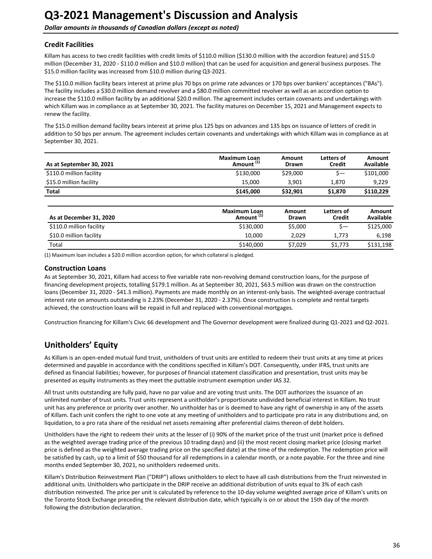## <span id="page-35-0"></span>**Credit Facilities**

Killam has access to two credit facilities with credit limits of \$110.0 million (\$130.0 million with the accordion feature) and \$15.0 million (December 31, 2020 - \$110.0 million and \$10.0 million) that can be used for acquisition and general business purposes. The \$15.0 million facility was increased from \$10.0 million during Q3-2021.

The \$110.0 million facility bears interest at prime plus 70 bps on prime rate advances or 170 bps over bankers' acceptances ("BAs"). The facility includes a \$30.0 million demand revolver and a \$80.0 million committed revolver as well as an accordion option to increase the \$110.0 million facility by an additional \$20.0 million. The agreement includes certain covenants and undertakings with which Killam was in compliance as at September 30, 2021. The facility matures on December 15, 2021 and Management expects to renew the facility.

The \$15.0 million demand facility bears interest at prime plus 125 bps on advances and 135 bps on issuance of letters of credit in addition to 50 bps per annum. The agreement includes certain covenants and undertakings with which Killam was in compliance as at September 30, 2021.

| \$110.0 million facility<br>\$29,000<br>\$130,000<br>\$—<br>\$15.0 million facility<br>15,000<br>1,870<br>3,901<br><b>Total</b><br>\$145,000<br>\$32,901<br>\$1,870<br><b>Maximum Loan</b><br>Letters of<br>Amount<br>Amount <sup>(1)</sup><br>As at December 31, 2020<br><b>Credit</b><br><b>Drawn</b><br>\$110.0 million facility<br>\$130,000<br>\$5,000<br>\$—<br>\$10.0 million facility<br>10.000<br>2.029<br>1,773<br>Total<br>\$140,000<br>\$7,029<br>\$1,773 | As at September 30, 2021 | <b>Maximum Loan</b><br>Amount <sup>(1)</sup> | Amount<br>Drawn | Letters of<br>Credit | Amount<br>Available |
|-----------------------------------------------------------------------------------------------------------------------------------------------------------------------------------------------------------------------------------------------------------------------------------------------------------------------------------------------------------------------------------------------------------------------------------------------------------------------|--------------------------|----------------------------------------------|-----------------|----------------------|---------------------|
|                                                                                                                                                                                                                                                                                                                                                                                                                                                                       |                          |                                              |                 |                      | \$101,000           |
|                                                                                                                                                                                                                                                                                                                                                                                                                                                                       |                          |                                              |                 |                      | 9,229               |
|                                                                                                                                                                                                                                                                                                                                                                                                                                                                       |                          |                                              |                 |                      | \$110,229           |
|                                                                                                                                                                                                                                                                                                                                                                                                                                                                       |                          |                                              |                 |                      | Amount<br>Available |
|                                                                                                                                                                                                                                                                                                                                                                                                                                                                       |                          |                                              |                 |                      | \$125,000           |
|                                                                                                                                                                                                                                                                                                                                                                                                                                                                       |                          |                                              |                 |                      | 6,198               |
|                                                                                                                                                                                                                                                                                                                                                                                                                                                                       |                          |                                              |                 |                      | \$131,198           |

(1) Maximum loan includes a \$20.0 million accordion option, for which collateral is pledged.

#### **Construction Loans**

As at September 30, 2021, Killam had access to five variable rate non-revolving demand construction loans, for the purpose of financing development projects, totalling \$179.1 million. As at September 30, 2021, \$63.5 million was drawn on the construction loans (December 31, 2020 - \$41.3 million). Payments are made monthly on an interest-only basis. The weighted-average contractual interest rate on amounts outstanding is 2.23% (December 31, 2020 - 2.37%). Once construction is complete and rental targets achieved, the construction loans will be repaid in full and replaced with conventional mortgages.

Construction financing for Killam's Civic 66 development and The Governor development were finalized during Q1-2021 and Q2-2021.

# **Unitholders' Equity**

As Killam is an open-ended mutual fund trust, unitholders of trust units are entitled to redeem their trust units at any time at prices determined and payable in accordance with the conditions specified in Killam's DOT. Consequently, under IFRS, trust units are defined as financial liabilities; however, for purposes of financial statement classification and presentation, trust units may be presented as equity instruments as they meet the puttable instrument exemption under IAS 32.

All trust units outstanding are fully paid, have no par value and are voting trust units. The DOT authorizes the issuance of an unlimited number of trust units. Trust units represent a unitholder's proportionate undivided beneficial interest in Killam. No trust unit has any preference or priority over another. No unitholder has or is deemed to have any right of ownership in any of the assets of Killam. Each unit confers the right to one vote at any meeting of unitholders and to participate pro rata in any distributions and, on liquidation, to a pro rata share of the residual net assets remaining after preferential claims thereon of debt holders.

Unitholders have the right to redeem their units at the lesser of (i) 90% of the market price of the trust unit (market price is defined as the weighted average trading price of the previous 10 trading days) and (ii) the most recent closing market price (closing market price is defined as the weighted average trading price on the specified date) at the time of the redemption. The redemption price will be satisfied by cash, up to a limit of \$50 thousand for all redemptions in a calendar month, or a note payable. For the three and nine months ended September 30, 2021, no unitholders redeemed units.

Killam's Distribution Reinvestment Plan ("DRIP") allows unitholders to elect to have all cash distributions from the Trust reinvested in additional units. Unitholders who participate in the DRIP receive an additional distribution of units equal to 3% of each cash distribution reinvested. The price per unit is calculated by reference to the 10-day volume weighted average price of Killam's units on the Toronto Stock Exchange preceding the relevant distribution date, which typically is on or about the 15th day of the month following the distribution declaration.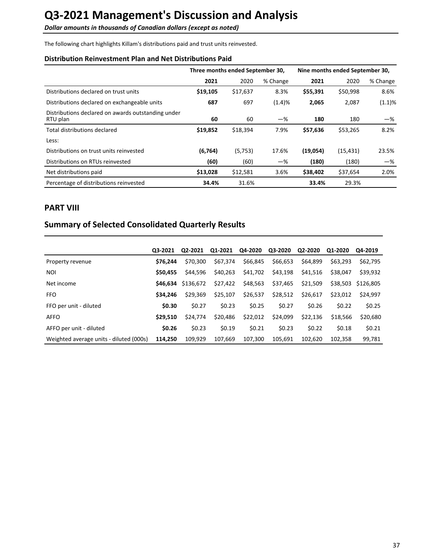<span id="page-36-0"></span>**Dollar amounts in thousands of Canadian dollars (except as noted)** 

The following chart highlights Killam's distributions paid and trust units reinvested.

# **Distribution Reinvestment Plan and Net Distributions Paid**

|                                                                | Three months ended September 30, |          |          | Nine months ended September 30, |           |          |
|----------------------------------------------------------------|----------------------------------|----------|----------|---------------------------------|-----------|----------|
|                                                                | 2021                             | 2020     | % Change | 2021                            | 2020      | % Change |
| Distributions declared on trust units                          | \$19,105                         | \$17,637 | 8.3%     | \$55,391                        | \$50,998  | 8.6%     |
| Distributions declared on exchangeable units                   | 687                              | 697      | (1.4)%   | 2,065                           | 2,087     | (1.1)%   |
| Distributions declared on awards outstanding under<br>RTU plan | 60                               | 60       | $-$ %    | 180                             | 180       | -%       |
| Total distributions declared                                   | \$19,852                         | \$18,394 | 7.9%     | \$57,636                        | \$53,265  | 8.2%     |
| Less:                                                          |                                  |          |          |                                 |           |          |
| Distributions on trust units reinvested                        | (6,764)                          | (5,753)  | 17.6%    | (19,054)                        | (15, 431) | 23.5%    |
| Distributions on RTUs reinvested                               | (60)                             | (60)     | $-\%$    | (180)                           | (180)     | $-\%$    |
| Net distributions paid                                         | \$13,028                         | \$12,581 | 3.6%     | \$38,402                        | \$37,654  | 2.0%     |
| Percentage of distributions reinvested                         | 34.4%                            | 31.6%    |          | 33.4%                           | 29.3%     |          |

# **PART VIII**

# **Summary of Selected Consolidated Quarterly Results**

|                                         | Q3-2021  | Q2-2021   | Q1-2021  | Q4-2020  | Q3-2020  | Q2-2020  | Q1-2020  | Q4-2019   |
|-----------------------------------------|----------|-----------|----------|----------|----------|----------|----------|-----------|
| Property revenue                        | \$76.244 | \$70.300  | \$67,374 | \$66,845 | \$66,653 | \$64,899 | \$63,293 | \$62,795  |
| <b>NOI</b>                              | \$50,455 | \$44.596  | \$40.263 | \$41,702 | \$43,198 | \$41,516 | \$38,047 | \$39,932  |
| Net income                              | \$46.634 | \$136.672 | \$27,422 | \$48,563 | \$37,465 | \$21,509 | \$38,503 | \$126,805 |
| <b>FFO</b>                              | \$34,246 | \$29,369  | \$25,107 | \$26,537 | \$28,512 | \$26,617 | \$23,012 | \$24.997  |
| FFO per unit - diluted                  | \$0.30   | \$0.27    | \$0.23   | \$0.25   | \$0.27   | \$0.26   | \$0.22   | \$0.25    |
| <b>AFFO</b>                             | \$29.510 | \$24,774  | \$20,486 | \$22,012 | \$24,099 | \$22,136 | \$18,566 | \$20,680  |
| AFFO per unit - diluted                 | \$0.26   | \$0.23    | \$0.19   | \$0.21   | \$0.23   | \$0.22   | \$0.18   | \$0.21    |
| Weighted average units - diluted (000s) | 114.250  | 109.929   | 107.669  | 107.300  | 105.691  | 102.620  | 102,358  | 99,781    |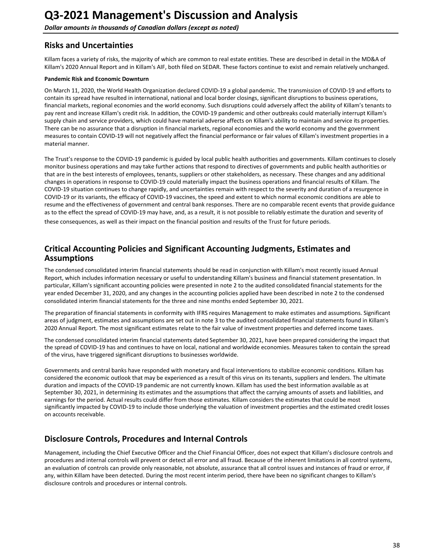# <span id="page-37-0"></span>**Risks and Uncertainties**

Killam faces a variety of risks, the majority of which are common to real estate entities. These are described in detail in the MD&A of Killam's 2020 Annual Report and in Killam's AIF, both filed on SEDAR. These factors continue to exist and remain relatively unchanged.

### **Pandemic Risk and Economic Downturn**

On March 11, 2020, the World Health Organization declared COVID-19 a global pandemic. The transmission of COVID-19 and efforts to contain its spread have resulted in international, national and local border closings, significant disruptions to business operations, financial markets, regional economies and the world economy. Such disruptions could adversely affect the ability of Killam's tenants to pay rent and increase Killam's credit risk. In addition, the COVID-19 pandemic and other outbreaks could materially interrupt Killam's supply chain and service providers, which could have material adverse affects on Killam's ability to maintain and service its properties. There can be no assurance that a disruption in financial markets, regional economies and the world economy and the government measures to contain COVID-19 will not negatively affect the financial performance or fair values of Killam's investment properties in a material manner.

The Trust's response to the COVID-19 pandemic is guided by local public health authorities and governments. Killam continues to closely monitor business operations and may take further actions that respond to directives of governments and public health authorities or that are in the best interests of employees, tenants, suppliers or other stakeholders, as necessary. These changes and any additional changes in operations in response to COVID-19 could materially impact the business operations and financial results of Killam. The COVID-19 situation continues to change rapidly, and uncertainties remain with respect to the severity and duration of a resurgence in COVID-19 or its variants, the efficacy of COVID-19 vaccines, the speed and extent to which normal economic conditions are able to resume and the effectiveness of government and central bank responses. There are no comparable recent events that provide guidance as to the effect the spread of COVID-19 may have, and, as a result, it is not possible to reliably estimate the duration and severity of these consequences, as well as their impact on the financial position and results of the Trust for future periods.

# **Critical Accounting Policies and Significant Accounting Judgments, Estimates and Assumptions**

The condensed consolidated interim financial statements should be read in conjunction with Killam's most recently issued Annual Report, which includes information necessary or useful to understanding Killam's business and financial statement presentation. In particular, Killam's significant accounting policies were presented in note 2 to the audited consolidated financial statements for the year ended December 31, 2020, and any changes in the accounting policies applied have been described in note 2 to the condensed consolidated interim financial statements for the three and nine months ended September 30, 2021.

The preparation of financial statements in conformity with IFRS requires Management to make estimates and assumptions. Significant areas of judgment, estimates and assumptions are set out in note 3 to the audited consolidated financial statements found in Killam's 2020 Annual Report. The most significant estimates relate to the fair value of investment properties and deferred income taxes.

The condensed consolidated interim financial statements dated September 30, 2021, have been prepared considering the impact that the spread of COVID-19 has and continues to have on local, national and worldwide economies. Measures taken to contain the spread of the virus, have triggered significant disruptions to businesses worldwide.

Governments and central banks have responded with monetary and fiscal interventions to stabilize economic conditions. Killam has considered the economic outlook that may be experienced as a result of this virus on its tenants, suppliers and lenders. The ultimate duration and impacts of the COVID-19 pandemic are not currently known. Killam has used the best information available as at September 30, 2021, in determining its estimates and the assumptions that affect the carrying amounts of assets and liabilities, and earnings for the period. Actual results could differ from those estimates. Killam considers the estimates that could be most significantly impacted by COVID-19 to include those underlying the valuation of investment properties and the estimated credit losses on accounts receivable.

# **Disclosure Controls, Procedures and Internal Controls**

Management, including the Chief Executive Officer and the Chief Financial Officer, does not expect that Killam's disclosure controls and procedures and internal controls will prevent or detect all error and all fraud. Because of the inherent limitations in all control systems, an evaluation of controls can provide only reasonable, not absolute, assurance that all control issues and instances of fraud or error, if any, within Killam have been detected. During the most recent interim period, there have been no significant changes to Killam's disclosure controls and procedures or internal controls.